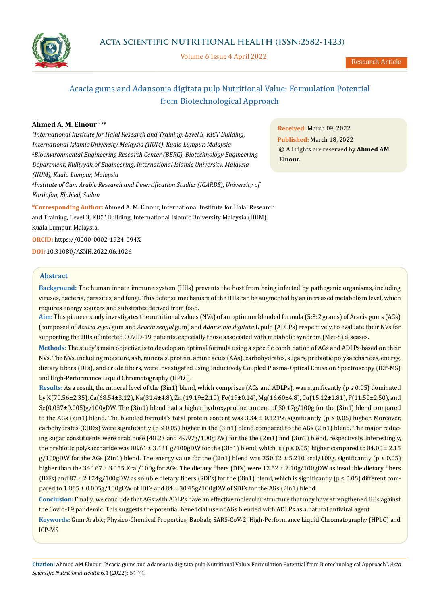

Volume 6 Issue 4 April 2022

Research Article

# Acacia gums and Adansonia digitata pulp Nutritional Value: Formulation Potential from Biotechnological Approach

# **Ahmed A. M. Elnour1-3\***

*1 International Institute for Halal Research and Training, Level 3, KICT Building, International Islamic University Malaysia (IIUM), Kuala Lumpur, Malaysia 2 Bioenvironmental Engineering Research Center (BERC), Biotechnology Engineering Department, Kulliyyah of Engineering, International Islamic University, Malaysia (IIUM), Kuala Lumpur, Malaysia*

*3 Institute of Gum Arabic Research and Desertification Studies (IGARDS), University of Kordofan, Elobied, Sudan*

**\*Corresponding Author:** Ahmed A. M. Elnour, International Institute for Halal Research and Training, Level 3, KICT Building, International Islamic University Malaysia (IIUM), Kuala Lumpur, Malaysia.

**ORCID:** <https://0000-0002-1924-094X>

**DOI:** [10.31080/ASNH.2022.06.1026](https://actascientific.com/ASNH/pdf/ASNH-06-1026.pdf)

# **Abstract**

**Background:** The human innate immune system (HIIs) prevents the host from being infected by pathogenic organisms, including viruses, bacteria, parasites, and fungi. This defense mechanism of the HIIs can be augmented by an increased metabolism level, which requires energy sources and substrates derived from food.

**Aim:** This pioneer study investigates the nutritional values (NVs) of an optimum blended formula (5:3:2 grams) of Acacia gums (AGs) (composed of *Acacia seyal* gum and *Acacia sengal* gum) and *Adansonia digitata* L pulp (ADLPs) respectively, to evaluate their NVs for supporting the HIIs of infected COVID-19 patients, especially those associated with metabolic syndrom (Met-S) diseases.

**Methods:** The study's main objective is to develop an optimal formula using a specific combination of AGs and ADLPs based on their NVs. The NVs, including moisture, ash, minerals, protein, amino acids (AAs), carbohydrates, sugars, prebiotic polysaccharides, energy, dietary fibers (DFs), and crude fibers, were investigated using Inductively Coupled Plasma-Optical Emission Spectroscopy (ICP-MS) and High-Performance Liquid Chromatography (HPLC).

**Results:** As a result, the mineral level of the (3in1) blend, which comprises (AGs and ADLPs), was significantly ( $p \le 0.05$ ) dominated by K(70.56±2.35), Ca(68.54±3.12), Na(31.4±4.8), Zn (19.19±2.10), Fe(19±0.14), Mg(16.60±4.8), Cu(15.12±1.81), P(11.50±2.50), and Se(0.037±0.005)g/100gDW. The (3in1) blend had a higher hydroxyproline content of 30.17g/100g for the (3in1) blend compared to the AGs (2in1) blend. The blended formula's total protein content was  $3.34 \pm 0.121\%$  significantly ( $p \le 0.05$ ) higher. Moreover, carbohydrates (CHOs) were significantly ( $p \le 0.05$ ) higher in the (3in1) blend compared to the AGs (2in1) blend. The major reducing sugar constituents were arabinose (48.23 and 49.97g/100gDW) for the the (2in1) and (3in1) blend, respectively. Interestingly, the prebiotic polysaccharide was  $88.61 \pm 3.121$  g/100gDW for the (3in1) blend, which is (p  $\leq 0.05$ ) higher compared to  $84.00 \pm 2.15$ g/100gDW for the AGs (2in1) blend. The energy value for the (3in1) blend was  $350.12 \pm 5.210$  kcal/100g, significantly (p  $\leq 0.05$ ) higher than the 340.67 ± 3.155 Kcal/100g for AGs. The dietary fibers (DFs) were 12.62 ± 2.10g/100gDW as insoluble dietary fibers (IDFs) and  $87 \pm 2.124g/100gDW$  as soluble dietary fibers (SDFs) for the (3in1) blend, which is significantly ( $p \le 0.05$ ) different compared to 1.865 ± 0.005g/100gDW of IDFs and 84 ± 30.45g/100gDW of SDFs for the AGs (2in1) blend.

**Conclusion:** Finally, we conclude that AGs with ADLPs have an effective molecular structure that may have strengthened HIIs against the Covid-19 pandemic. This suggests the potential beneficial use of AGs blended with ADLPs as a natural antiviral agent.

**Keywords:** Gum Arabic; Physico-Chemical Properties; Baobab; SARS-CoV-2; High-Performance Liquid Chromatography (HPLC) and ICP-MS

**Received:** March 09, 2022 **Published:** March 18, 2022 © All rights are reserved by **Ahmed AM Elnour.**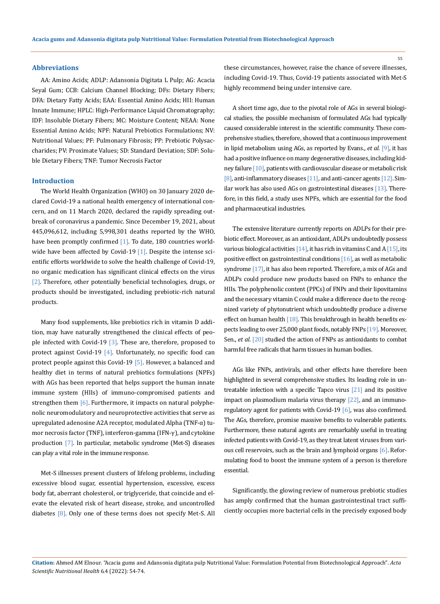#### **Abbreviations**

AA: Amino Acids; ADLP: Adansonia Digitata L Pulp; AG: Acacia Seyal Gum; CCB: Calcium Channel Blocking; DFs: Dietary Fibers; DFA: Dietary Fatty Acids; EAA: Essential Amino Acids; HII: Human Innate Immune; HPLC: High-Performance Liquid Chromatography; IDF: Insoluble Dietary Fibers; MC: Moisture Content; NEAA: None Essential Amino Acids; NPF: Natural Prebiotics Formulations; NV: Nutritional Values; PF: Pulmonary Fibrosis; PP: Prebiotic Polysaccharides; PV: Proximate Values; SD: Standard Deviation; SDF: Soluble Dietary Fibers; TNF: Tumor Necrosis Factor

#### **Introduction**

The World Health Organization (WHO) on 30 January 2020 declared Covid-19 a national health emergency of international concern, and on 11 March 2020, declared the rapidly spreading outbreak of coronavirus a pandemic. Since December 19, 2021, about 445,096,612, including 5,998,301 deaths reported by the WHO, have been promptly confirmed  $[1]$ . To date, 180 countries worldwide have been affected by Covid-19  $[1]$ . Despite the intense scientific efforts worldwide to solve the health challenge of Covid-19, no organic medication has significant clinical effects on the virus [2]. Therefore, other potentially beneficial technologies, drugs, or products should be investigated, including prebiotic-rich natural products.

Many food supplements, like prebiotics rich in vitamin D addition, may have naturally strengthened the clinical effects of people infected with Covid-19  $\lceil 3 \rceil$ . These are, therefore, proposed to protect against Covid-19  $[4]$ . Unfortunately, no specific food can protect people against this Covid-19 [5]. However, a balanced and healthy diet in terms of natural prebiotics formulations (NPFs) with AGs has been reported that helps support the human innate immune system (HIIs) of immuno-compromised patients and strengthen them  $[6]$ . Furthermore, it impacts on natural polyphenolic neuromodulatory and neuroprotective activities that serve as upregulated adenosine A2A receptor, modulated Alpha (TNF-α) tumor necrosis factor (TNF), interferon-gamma (IFN-γ), and cytokine production [7]. In particular, metabolic syndrome (Met-S) diseases can play a vital role in the immune response.

Met-S illnesses present clusters of lifelong problems, including excessive blood sugar, essential hypertension, excessive, excess body fat, aberrant cholesterol, or triglyceride, that coincide and elevate the elevated risk of heart disease, stroke, and uncontrolled diabetes [8]. Only one of these terms does not specify Met-S. All these circumstances, however, raise the chance of severe illnesses, including Covid-19. Thus, Covid-19 patients associated with Met-S highly recommend being under intensive care.

A short time ago, due to the pivotal role of AGs in several biological studies, the possible mechanism of formulated AGs had typically caused considerable interest in the scientific community. These comprehensive studies, therefore, showed that a continuous improvement in lipid metabolism using AGs, as reported by Evans., *et al*. [9], it has had a positive influence on many degenerative diseases, including kidney failure [10], patients with cardiovascular disease or metabolic risk [8], anti-inflammatory diseases [11], and anti-cancer agents [12]. Similar work has also used AGs on gastrointestinal diseases [13]. Therefore, in this field, a study uses NPFs, which are essential for the food and pharmaceutical industries.

The extensive literature currently reports on ADLPs for their prebiotic effect. Moreover, as an antioxidant, ADLPs undoubtedly possess various biological activities  $[14]$ , it has rich in vitamins C and A  $[15]$ , its positive effect on gastrointestinal conditions [16], as well as metabolic syndrome [17], it has also been reported. Therefore, a mix of AGs and ADLPs could produce new products based on FNPs to enhance the HIIs. The polyphenolic content (PPCs) of FNPs and their lipovitamins and the necessary vitamin C could make a difference due to the recognized variety of phytonutrient which undoubtedly produce a diverse effect on human health [18]. This breakthrough in health benefits expects leading to over 25,000 plant foods, notably FNPs [19]. Moreover, Sen., *et al*. [20] studied the action of FNPs as antioxidants to combat harmful free radicals that harm tissues in human bodies.

AGs like FNPs, antivirals, and other effects have therefore been highlighted in several comprehensive studies. Its leading role in untreatable infection with a specific Tapco virus [21] and its positive impact on plasmodium malaria virus therapy [22], and an immunoregulatory agent for patients with Covid-19 [6], was also confirmed. The AGs, therefore, promise massive benefits to vulnerable patients. Furthermore, these natural agents are remarkably useful in treating infected patients with Covid-19, as they treat latent viruses from various cell reservoirs, such as the brain and lymphoid organs [6]. Reformulating food to boost the immune system of a person is therefore essential.

Significantly, the glowing review of numerous prebiotic studies has amply confirmed that the human gastrointestinal tract sufficiently occupies more bacterial cells in the precisely exposed body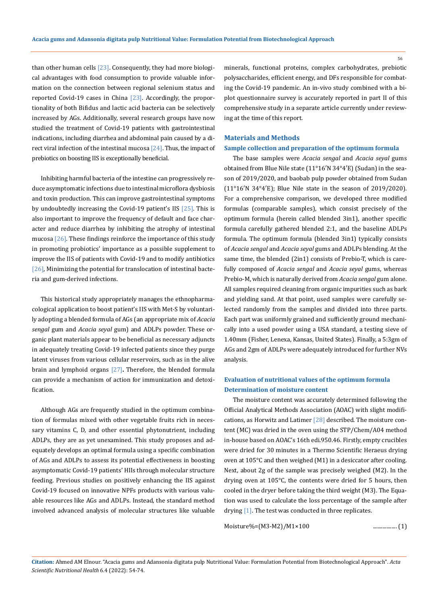than other human cells  $[23]$ . Consequently, they had more biological advantages with food consumption to provide valuable information on the connection between regional selenium status and reported Covid-19 cases in China [23]. Accordingly, the proportionality of both Bifidus and lactic acid bacteria can be selectively increased by AGs. Additionally, several research groups have now studied the treatment of Covid-19 patients with gastrointestinal indications, including diarrhea and abdominal pain caused by a direct viral infection of the intestinal mucosa  $[24]$ . Thus, the impact of prebiotics on boosting IIS is exceptionally beneficial.

Inhibiting harmful bacteria of the intestine can progressively reduce asymptomatic infections due to intestinal microflora dysbiosis and toxin production. This can improve gastrointestinal symptoms by undoubtedly increasing the Covid-19 patient's IIS [25]. This is also important to improve the frequency of default and face character and reduce diarrhea by inhibiting the atrophy of intestinal mucosa  $[26]$ . These findings reinforce the importance of this study in promoting probiotics' importance as a possible supplement to improve the IIS of patients with Covid-19 and to modify antibiotics [26], Minimizing the potential for translocation of intestinal bacteria and gum-derived infections.

This historical study appropriately manages the ethnopharmacological application to boost patient's IIS with Met-S by voluntarily adopting a blended formula of AGs (an appropriate mix of *Acacia sengal* gum and *Acacia seyal* gum) and ADLPs powder. These organic plant materials appear to be beneficial as necessary adjuncts in adequately treating Covid-19 infected patients since they purge latent viruses from various cellular reservoirs, such as in the alive brain and lymphoid organs [27]**.** Therefore, the blended formula can provide a mechanism of action for immunization and detoxification.

Although AGs are frequently studied in the optimum combination of formulas mixed with other vegetable fruits rich in necessary vitamins C, D, and other essential phytonutrient, including ADLPs, they are as yet unexamined. This study proposes and adequately develops an optimal formula using a specific combination of AGs and ADLPs to assess its potential effectiveness in boosting asymptomatic Covid-19 patients' HIIs through molecular structure feeding. Previous studies on positively enhancing the IIS against Covid-19 focused on innovative NPFs products with various valuable resources like AGs and ADLPs. Instead, the standard method involved advanced analysis of molecular structures like valuable minerals, functional proteins, complex carbohydrates, prebiotic polysaccharides, efficient energy, and DFs responsible for combating the Covid-19 pandemic. An in-vivo study combined with a biplot questionnaire survey is accurately reported in part II of this comprehensive study in a separate article currently under reviewing at the time of this report.

#### **Materials and Methods**

#### **Sample collection and preparation of the optimum formula**

The base samples were *Acacia sengal* and *Acacia seyal* gums obtained from Blue Nile state (11°16′N 34°4′E) (Sudan) in the season of 2019/2020, and baobab pulp powder obtained from Sudan (11°16′N 34°4′E); Blue Nile state in the season of 2019/2020). For a comprehensive comparison, we developed three modified formulas (comparable samples), which consist precisely of the optimum formula (herein called blended 3in1), another specific formula carefully gathered blended 2:1, and the baseline ADLPs formula. The optimum formula (blended 3in1) typically consists of *Acacia sengal* and *Acacia seyal* gums and ADLPs blending. At the same time, the blended (2in1) consists of Prebio-T, which is carefully composed of *Acacia sengal* and *Acacia seyal* gums, whereas Prebio-M, which is naturally derived from *Acacia sengal* gum alone. All samples required cleaning from organic impurities such as bark and yielding sand. At that point, used samples were carefully selected randomly from the samples and divided into three parts. Each part was uniformly grained and sufficiently ground mechanically into a used powder using a USA standard, a testing sieve of 1.40mm (Fisher, Lenexa, Kansas, United States). Finally, a 5:3gm of AGs and 2gm of ADLPs were adequately introduced for further NVs analysis.

# **Evaluation of nutritional values of the optimum formula Determination of moisture content**

The moisture content was accurately determined following the Official Analytical Methods Association (AOAC) with slight modifications, as Horwitz and Latimer [28] described. The moisture content (MC) was dried in the oven using the STP/Chem/A04 method in-house based on AOAC's 16th edi.950.46. Firstly, empty crucibles were dried for 30 minutes in a Thermo Scientific Heraeus drying oven at 105°C and then weighed (M1) in a desiccator after cooling. Next, about 2g of the sample was precisely weighed (M2). In the drying oven at 105°C, the contents were dried for 5 hours, then cooled in the dryer before taking the third weight (M3). The Equation was used to calculate the loss percentage of the sample after drying [1]. The test was conducted in three replicates.

```
Moisture%=(M3-M2)/M1×100 .................. (1)
```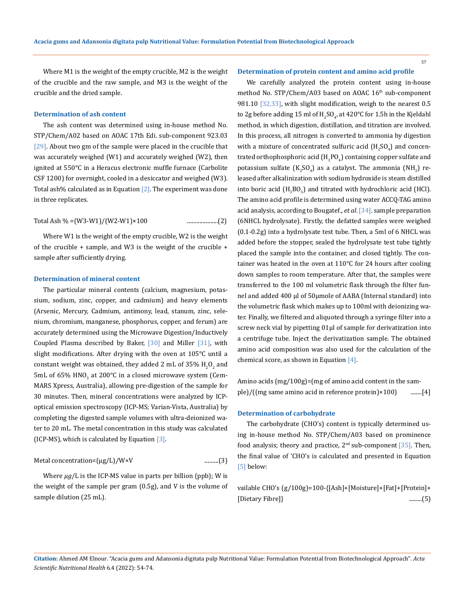Where M1 is the weight of the empty crucible, M2 is the weight of the crucible and the raw sample, and M3 is the weight of the crucible and the dried sample.

#### **Determination of ash content**

The ash content was determined using in-house method No. STP/Chem/A02 based on AOAC 17th Edi. sub-component 923.03 [29]. About two gm of the sample were placed in the crucible that was accurately weighed (W1) and accurately weighed (W2), then ignited at 550°C in a Heracus electronic muffle furnace (Carbolite CSF 1200) for overnight, cooled in a desiccator and weighed (W3). Total ash% calculated as in Equation  $[2]$ . The experiment was done in three replicates.

Total Ash % =(W3-W1)/(W2-W1)×100 ......................(2)

Where W1 is the weight of the empty crucible, W2 is the weight of the crucible + sample, and W3 is the weight of the crucible + sample after sufficiently drying.

### **Determination of mineral content**

The particular mineral contents (calcium, magnesium, potassium, sodium, zinc, copper, and cadmium) and heavy elements (Arsenic, Mercury, Cadmium, antimony, lead, stanum, zinc, selenium, chromium, manganese, phosphorus, copper, and ferum) are accurately determined using the Microwave Digestion/Inductively Coupled Plasma described by Baker,  $[30]$  and Miller  $[31]$ , with slight modifications. After drying with the oven at 105°C until a constant weight was obtained, they added 2 mL of 35%  $\rm H_2O_2$  and  $5$ mL of 65% HNO<sub>3</sub> at 200°C in a closed microwave system (Cem-MARS Xpress, Australia), allowing pre-digestion of the sample for 30 minutes. Then, mineral concentrations were analyzed by ICPoptical emission spectroscopy (ICP-MS; Varian-Vista, Australia) by completing the digested sample volumes with ultra-deionized water to 20 mL. The metal concentration in this study was calculated (ICP-MS), which is calculated by Equation [3].

Metal concentration=(µg/L)/W×V ..........(3)

Where  $\mu g/L$  is the ICP-MS value in parts per billion (ppb); W is the weight of the sample per gram (0.5g), and V is the volume of sample dilution (25 mL).

#### **Determination of protein content and amino acid profile**

We carefully analyzed the protein content using in-house method No. STP/Chem/A03 based on AOAC 16<sup>th</sup> sub-component 981.10 [32,33], with slight modification, weigh to the nearest 0.5 to 2g before adding 15 ml of  $\rm{H}_{2}SO_{4}$ , at 420°C for 1.5h in the Kjeldahl method, in which digestion, distillation, and titration are involved. In this process, all nitrogen is converted to ammonia by digestion with a mixture of concentrated sulfuric acid  $\rm (H_2SO_4)$  and concentrated orthophosphoric acid  $(\rm{H}_{3}PO_{4})$  containing copper sulfate and potassium sulfate  $(K_2SO_4)$  as a catalyst. The ammonia (NH<sub>3</sub>) released after alkalinization with sodium hydroxide is steam distilled into boric acid  $\rm (H_3BO_3)$  and titrated with hydrochloric acid (HCl). The amino acid profile is determined using water ACCQ-TAG amino acid analysis, according to Bougatef., *et al*. [34]. sample preparation (6NHCL hydrolysate). Firstly, the defatted samples were weighed (0.1-0.2g) into a hydrolysate test tube. Then, a 5ml of 6 NHCL was added before the stopper, sealed the hydrolysate test tube tightly placed the sample into the container, and closed tightly. The container was heated in the oven at 110°C for 24 hours after cooling down samples to room temperature. After that, the samples were transferred to the 100 ml volumetric flask through the filter funnel and added 400 µl of 50µmole of AABA (Internal standard) into the volumetric flask which makes up to 100ml with deionizing water. Finally, we filtered and aliquoted through a syringe filter into a screw neck vial by pipetting 01µl of sample for derivatization into a centrifuge tube. Inject the derivatization sample. The obtained amino acid composition was also used for the calculation of the chemical score, as shown in Equation  $[4]$ .

Amino acids (mg/100g)=(mg of amino acid content in the sample)/((mg same amino acid in reference protein)×100) .........[4]

#### **Determination of carbohydrate**

The carbohydrate (CHO's) content is typically determined using in-house method No. STP/Chem/A03 based on prominence food analysis; theory and practice,  $2<sup>nd</sup>$  sub-component [35]. Then, the final value of 'CHO's is calculated and presented in Equation [5] below:

vailable CHO's (g/100g)=100-{[Ash]+[Moisture]+[Fat]+[Protein]+ [Dietary Fibre]} .........(5)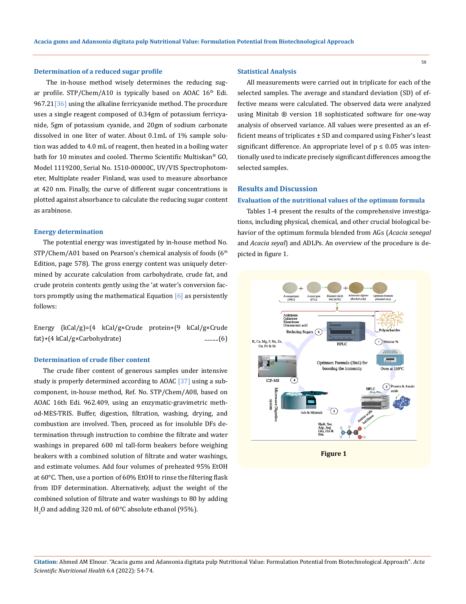### **Determination of a reduced sugar profile**

The in-house method wisely determines the reducing sugar profile.  $STP/Chem/A10$  is typically based on AOAC  $16<sup>th</sup>$  Edi. 967.21<sup>[36]</sup> using the alkaline ferricyanide method. The procedure uses a single reagent composed of 0.34gm of potassium ferricyanide, 5gm of potassium cyanide, and 20gm of sodium carbonate dissolved in one liter of water. About 0.1mL of 1% sample solution was added to 4.0 mL of reagent, then heated in a boiling water bath for 10 minutes and cooled. Thermo Scientific Multiskan® GO, Model 1119200, Serial No. 1510-00000C, UV/VIS Spectrophotometer, Multiplate reader Finland, was used to measure absorbance at 420 nm. Finally, the curve of different sugar concentrations is plotted against absorbance to calculate the reducing sugar content as arabinose.

#### **Energy determination**

The potential energy was investigated by in-house method No. STP/Chem/A01 based on Pearson's chemical analysis of foods (6<sup>th</sup> Edition, page 578). The gross energy content was uniquely determined by accurate calculation from carbohydrate, crude fat, and crude protein contents gently using the 'at water's conversion factors promptly using the mathematical Equation [6] as persistently follows:

Energy (kCal/g)=(4 kCal/g×Crude protein+(9 kCal/g×Crude fat)+(4 kCal/g×Carbohydrate) ..........(6)

# **Determination of crude fiber content**

The crude fiber content of generous samples under intensive study is properly determined according to AOAC [37] using a subcomponent, in-house method, Ref. No. STP/Chem/A08, based on AOAC 16th Edi. 962.409, using an enzymatic-gravimetric method-MES-TRIS. Buffer, digestion, filtration, washing, drying, and combustion are involved. Then, proceed as for insoluble DFs determination through instruction to combine the filtrate and water washings in prepared 600 ml tall-form beakers before weighing beakers with a combined solution of filtrate and water washings, and estimate volumes. Add four volumes of preheated 95% EtOH at 60°C. Then, use a portion of 60% EtOH to rinse the filtering flask from IDF determination. Alternatively, adjust the weight of the combined solution of filtrate and water washings to 80 by adding  $_{2}$ O and adding 320 mL of 60°C absolute ethanol (95%).

#### **Statistical Analysis**

All measurements were carried out in triplicate for each of the selected samples. The average and standard deviation (SD) of effective means were calculated. The observed data were analyzed using Minitab ® version 18 sophisticated software for one-way analysis of observed variance. All values were presented as an efficient means of triplicates ± SD and compared using Fisher's least significant difference. An appropriate level of  $p \leq 0.05$  was intentionally used to indicate precisely significant differences among the selected samples.

#### **Results and Discussion**

#### **Evaluation of the nutritional values of the optimum formula**

Tables 1-4 present the results of the comprehensive investigations, including physical, chemical, and other crucial biological behavior of the optimum formula blended from AGs (*Acacia senegal* and *Acacia seyal*) and ADLPs. An overview of the procedure is depicted in figure 1.

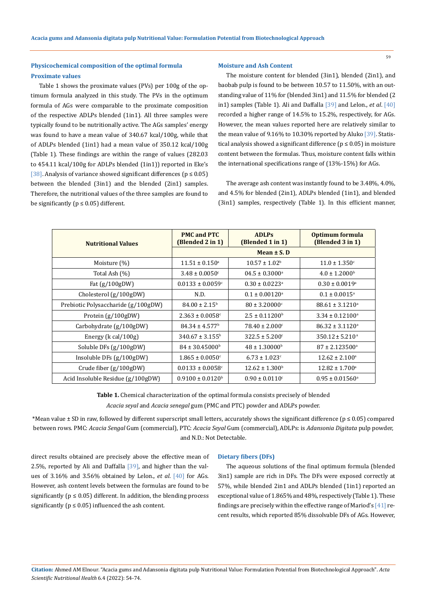# **Physicochemical composition of the optimal formula Proximate values**

Table 1 shows the proximate values (PVs) per 100g of the optimum formula analyzed in this study. The PVs in the optimum formula of AGs were comparable to the proximate composition of the respective ADLPs blended (1in1)*.* All three samples were typically found to be nutritionally active. The AGs samples' energy was found to have a mean value of 340.67 kcal/100g, while that of ADLPs blended (1in1) had a mean value of 350.12 kcal/100g (Table 1). These findings are within the range of values (282.03 to 454.11 kcal/100g for ADLPs blended (1in1)) reported in Eke's [38]. Analysis of variance showed significant differences ( $p \le 0.05$ ) between the blended (3in1) and the blended (2in1) samples. Therefore, the nutritional values of the three samples are found to be significantly ( $p \le 0.05$ ) different.

#### **Moisture and Ash Content**

The moisture content for blended (3in1), blended (2in1), and baobab pulp is found to be between 10.57 to 11.50%, with an outstanding value of 11% for (blended 3in1) and 11.5% for blended (2 in1) samples (Table 1). Ali and Daffalla [39] and Lelon., *et al*. [40] recorded a higher range of 14.5% to 15.2%, respectively, for AGs. However, the mean values reported here are relatively similar to the mean value of 9.16% to 10.30% reported by Aluko [39]. Statistical analysis showed a significant difference ( $p \le 0.05$ ) in moisture content between the formulas. Thus, moisture content falls within the international specifications range of (13%-15%) for AGs.

The average ash content was instantly found to be 3.48%, 4.0%, and 4.5% for blended (2in1), ADLPs blended (1in1), and blended (3in1) samples, respectively (Table 1). In this efficient manner,

| <b>Nutritional Values</b>           | <b>PMC</b> and PTC<br>(Blended 2 in 1) | <b>ADLPs</b><br>(Blended 1 in 1) | Optimum formula<br>(Blended 3 in 1) |  |
|-------------------------------------|----------------------------------------|----------------------------------|-------------------------------------|--|
|                                     | Mean $\pm$ S. D                        |                                  |                                     |  |
| Moisture (%)                        | $11.51 \pm 0.150^{\circ}$              | $10.57 \pm 1.02^b$               | $11.0 \pm 1.350^{\circ}$            |  |
| Total Ash (%)                       | $3.48 \pm 0.0050$ <sup>c</sup>         | $04.5 \pm 0.3000^{\circ}$        | $4.0 \pm 1.2000$ <sup>b</sup>       |  |
| Fat $(g/100gDW)$                    | $0.0133 \pm 0.0059$ <sup>c</sup>       | $0.30 \pm 0.0223$ <sup>a</sup>   | $0.30 \pm 0.0019^{\circ}$           |  |
| Cholesterol $(g/100gDW)$            | N.D.                                   | $0.1 \pm 0.00120^{\circ}$        | $0.1 \pm 0.0015^{\circ}$            |  |
| Prebiotic Polysaccharide (g/100gDW) | $84.00 \pm 2.15^{\circ}$               | $80 \pm 3.20000$ <sup>c</sup>    | $88.61 \pm 3.1210^a$                |  |
| Protein $(g/100gDW)$                | $2.363 \pm 0.0058$ <sup>c</sup>        | $2.5 \pm 0.11200$ <sup>b</sup>   | $3.34 \pm 0.12100^{\circ}$          |  |
| Carbohydrate $(g/100gDW)$           | $84.34 \pm 4.577$ <sup>b</sup>         | $78.40 \pm 2.000$ <sup>c</sup>   | $86.32 \pm 3.1120^a$                |  |
| Energy ( $k$ cal/100g)              | $340.67 \pm 3.155^{\circ}$             | $322.5 \pm 5.200$ <sup>c</sup>   | $350.12 \pm 5.210^{\text{a}}$       |  |
| Soluble DFs $(g/100gDW)$            | $84 \pm 30.45000^{\rm b}$              | $48 \pm 1.30000$ <sup>b</sup>    | $87 \pm 2.123500^{\circ}$           |  |
| Insoluble DFs (g/100gDW)            | $1.865 \pm 0.0050$ <sup>c</sup>        | $6.73 \pm 1.023$ c               | $12.62 \pm 2.100^a$                 |  |
| Crude fiber $(g/100gDW)$            | $0.0133 \pm 0.0058$ <sup>c</sup>       | $12.62 \pm 1.300^{\rm b}$        | $12.82 \pm 1.700^a$                 |  |
| Acid Insoluble Residue (g/100gDW)   | $0.9100 \pm 0.0120^{\rm b}$            | $0.90 \pm 0.0110^c$              | $0.95 \pm 0.01560^{\circ}$          |  |

**Table 1.** Chemical characterization of the optimal formula consists precisely of blended *Acacia seyal* and *Acacia senegal* gum (PMC and PTC) powder and ADLPs powder.

\*Mean value ± SD in raw, followed by different superscript small letters, accurately shows the significant difference (p ≤ 0.05) compared between rows. PMC: *Acacia Sengal* Gum (commercial), PTC: *Acacia Seyal* Gum (commercial), ADLPs: is *Adansonia Digitata* pulp powder, and N.D.: Not Detectable.

direct results obtained are precisely above the effective mean of 2.5%, reported by Ali and Daffalla  $[39]$ , and higher than the values of 3.16% and 3.56% obtained by Lelon., *et al*. [40] for AGs. However, ash content levels between the formulas are found to be significantly ( $p \leq 0.05$ ) different. In addition, the blending process significantly ( $p \le 0.05$ ) influenced the ash content.

# **Dietary fibers (DFs)**

The aqueous solutions of the final optimum formula (blended 3in1) sample are rich in DFs. The DFs were exposed correctly at 57%, while blended 2in1 and ADLPs blended (1in1) reported an exceptional value of 1.865% and 48%, respectively (Table 1). These findings are precisely within the effective range of Mariod's  $[41]$  recent results, which reported 85% dissolvable DFs of AGs. However,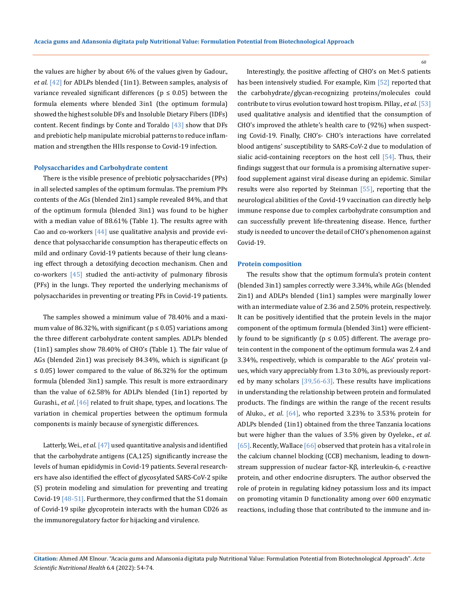the values are higher by about 6% of the values given by Gadour., *et al*. [42] for ADLPs blended (1in1). Between samples, analysis of variance revealed significant differences ( $p \leq 0.05$ ) between the formula elements where blended 3in1 (the optimum formula) showed the highest soluble DFs and Insoluble Dietary Fibers (IDFs) content. Recent findings by Conte and Toraldo  $[43]$  show that DFs and prebiotic help manipulate microbial patterns to reduce inflammation and strengthen the HIIs response to Covid-19 infection.

#### **Polysaccharides and Carbohydrate content**

There is the visible presence of prebiotic polysaccharides (PPs) in all selected samples of the optimum formulas. The premium PPs contents of the AGs (blended 2in1) sample revealed 84%, and that of the optimum formula (blended 3in1) was found to be higher with a median value of 88.61% (Table 1). The results agree with Cao and co-workers  $[44]$  use qualitative analysis and provide evidence that polysaccharide consumption has therapeutic effects on mild and ordinary Covid-19 patients because of their lung cleansing effect through a detoxifying decoction mechanism. Chen and co-workers  $[45]$  studied the anti-activity of pulmonary fibrosis (PFs) in the lungs. They reported the underlying mechanisms of polysaccharides in preventing or treating PFs in Covid-19 patients.

The samples showed a minimum value of 78.40% and a maximum value of 86.32%, with significant ( $p \le 0.05$ ) variations among the three different carbohydrate content samples. ADLPs blended (1in1) samples show 78.40% of CHO's (Table 1). The fair value of AGs (blended 2in1) was precisely 84.34%, which is significant (p ≤ 0.05) lower compared to the value of 86.32% for the optimum formula (blended 3in1) sample. This result is more extraordinary than the value of 62.58% for ADLPs blended (1in1) reported by Gurashi., *et al*. [46] related to fruit shape, types, and locations. The variation in chemical properties between the optimum formula components is mainly because of synergistic differences.

Latterly, Wei., *et al*.[47] used quantitative analysis and identified that the carbohydrate antigens (CA,125) significantly increase the levels of human epididymis in Covid-19 patients. Several researchers have also identified the effect of glycosylated SARS-CoV-2 spike (S) protein modeling and simulation for preventing and treating Covid-19 [48-51]. Furthermore, they confirmed that the S1 domain of Covid-19 spike glycoprotein interacts with the human CD26 as the immunoregulatory factor for hijacking and virulence.

Interestingly, the positive affecting of CHO's on Met-S patients has been intensively studied. For example, Kim [52] reported that the carbohydrate/glycan-recognizing proteins/molecules could contribute to virus evolution toward host tropism. Pillay., *et al*. [53] used qualitative analysis and identified that the consumption of CHO's improved the athlete's health care to (92%) when suspecting Covid-19. Finally, CHO's- CHO's interactions have correlated blood antigens' susceptibility to SARS-CoV-2 due to modulation of sialic acid-containing receptors on the host cell [54]. Thus, their findings suggest that our formula is a promising alternative superfood supplement against viral disease during an epidemic. Similar results were also reported by Steinman [55], reporting that the neurological abilities of the Covid-19 vaccination can directly help immune response due to complex carbohydrate consumption and can successfully prevent life-threatening disease. Hence, further study is needed to uncover the detail of CHO's phenomenon against Covid-19.

#### **Protein composition**

The results show that the optimum formula's protein content (blended 3in1) samples correctly were 3.34%, while AGs (blended 2in1) and ADLPs blended (1in1) samples were marginally lower with an intermediate value of 2.36 and 2.50% protein, respectively. It can be positively identified that the protein levels in the major component of the optimum formula (blended 3in1) were efficiently found to be significantly ( $p \le 0.05$ ) different. The average protein content in the component of the optimum formula was 2.4 and 3.34%, respectively, which is comparable to the AGs' protein values, which vary appreciably from 1.3 to 3.0%, as previously reported by many scholars [39,56-63]. These results have implications in understanding the relationship between protein and formulated products. The findings are within the range of the recent results of Aluko., *et al*. [64], who reported 3.23% to 3.53% protein for ADLPs blended (1in1) obtained from the three Tanzania locations but were higher than the values of 3.5% given by Oyeleke., *et al*. [65]. Recently, Wallace [66] observed that protein has a vital role in the calcium channel blocking (CCB) mechanism, leading to downstream suppression of nuclear factor-Kβ, interleukin-6, c-reactive protein, and other endocrine disrupters. The author observed the role of protein in regulating kidney potassium loss and its impact on promoting vitamin D functionality among over 600 enzymatic reactions, including those that contributed to the immune and in-

**Citation:** Ahmed AM Elnour*.* "Acacia gums and Adansonia digitata pulp Nutritional Value: Formulation Potential from Biotechnological Approach". *Acta Scientific Nutritional Health* 6.4 (2022): 54-74.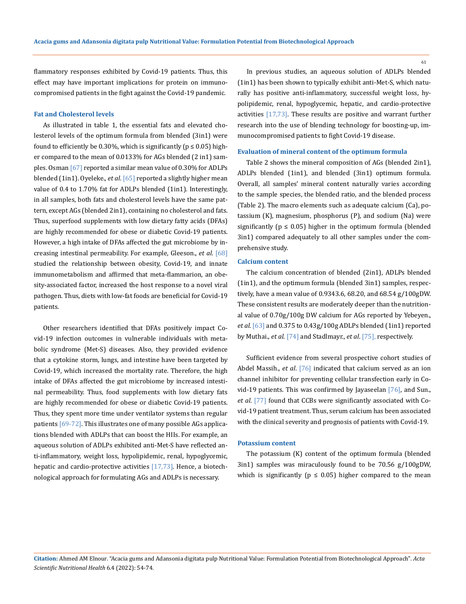flammatory responses exhibited by Covid-19 patients. Thus, this effect may have important implications for protein on immunocompromised patients in the fight against the Covid-19 pandemic.

### **Fat and Cholesterol levels**

As illustrated in table 1, the essential fats and elevated cholesterol levels of the optimum formula from blended (3in1) were found to efficiently be 0.30%, which is significantly ( $p \le 0.05$ ) higher compared to the mean of 0.0133% for AGs blended (2 in1) samples. Osman [67] reported a similar mean value of 0.30% for ADLPs blended (1in1). Oyeleke., *et al*. [65] reported a slightly higher mean value of 0.4 to 1.70% fat for ADLPs blended (1in1). Interestingly, in all samples, both fats and cholesterol levels have the same pattern, except AGs (blended 2in1), containing no cholesterol and fats. Thus, superfood supplements with low dietary fatty acids (DFAs) are highly recommended for obese or diabetic Covid-19 patients. However, a high intake of DFAs affected the gut microbiome by increasing intestinal permeability. For example, Gleeson., *et al*. [68] studied the relationship between obesity, Covid-19, and innate immunometabolism and affirmed that meta-flammarion, an obesity-associated factor, increased the host response to a novel viral pathogen. Thus, diets with low-fat foods are beneficial for Covid-19 patients.

Other researchers identified that DFAs positively impact Covid-19 infection outcomes in vulnerable individuals with metabolic syndrome (Met-S) diseases. Also, they provided evidence that a cytokine storm, lungs, and intestine have been targeted by Covid-19, which increased the mortality rate. Therefore, the high intake of DFAs affected the gut microbiome by increased intestinal permeability. Thus, food supplements with low dietary fats are highly recommended for obese or diabetic Covid-19 patients. Thus, they spent more time under ventilator systems than regular patients [69-72]. This illustrates one of many possible AGs applications blended with ADLPs that can boost the HIIs. For example, an aqueous solution of ADLPs exhibited anti-Met-S have reflected anti-inflammatory, weight loss, hypolipidemic, renal, hypoglycemic, hepatic and cardio-protective activities [17,73]. Hence, a biotechnological approach for formulating AGs and ADLPs is necessary.

In previous studies, an aqueous solution of ADLPs blended (1in1) has been shown to typically exhibit anti-Met-S, which naturally has positive anti-inflammatory, successful weight loss, hypolipidemic, renal, hypoglycemic, hepatic, and cardio-protective activities [17,73]. These results are positive and warrant further research into the use of blending technology for boosting-up, immunocompromised patients to fight Covid-19 disease.

#### **Evaluation of mineral content of the optimum formula**

Table 2 shows the mineral composition of AGs (blended 2in1), ADLPs blended (1in1), and blended (3in1) optimum formula. Overall, all samples' mineral content naturally varies according to the sample species, the blended ratio, and the blended process (Table 2). The macro elements such as adequate calcium (Ca), potassium (K), magnesium, phosphorus (P), and sodium (Na) were significantly ( $p \le 0.05$ ) higher in the optimum formula (blended 3in1) compared adequately to all other samples under the comprehensive study.

#### **Calcium content**

The calcium concentration of blended (2in1), ADLPs blended (1in1), and the optimum formula (blended 3in1) samples, respectively, have a mean value of 0.9343.6, 68.20, and 68.54 g/100gDW. These consistent results are moderately deeper than the nutritional value of 0.70g/100g DW calcium for AGs reported by Yebeyen., *et al*. [63] and 0.375 to 0.43g/100g ADLPs blended (1in1) reported by Muthai., *et al*. [74] and Stadlmayr., *et al*. [75], respectively.

Sufficient evidence from several prospective cohort studies of Abdel Massih., *et al*. [76] indicated that calcium served as an ion channel inhibitor for preventing cellular transfection early in Covid-19 patients. This was confirmed by Jayaseelan [76], and Sun., *et al*. [77] found that CCBs were significantly associated with Covid-19 patient treatment. Thus, serum calcium has been associated with the clinical severity and prognosis of patients with Covid-19.

#### **Potassium content**

The potassium (K) content of the optimum formula (blended 3in1) samples was miraculously found to be 70.56 g/100gDW, which is significantly ( $p \le 0.05$ ) higher compared to the mean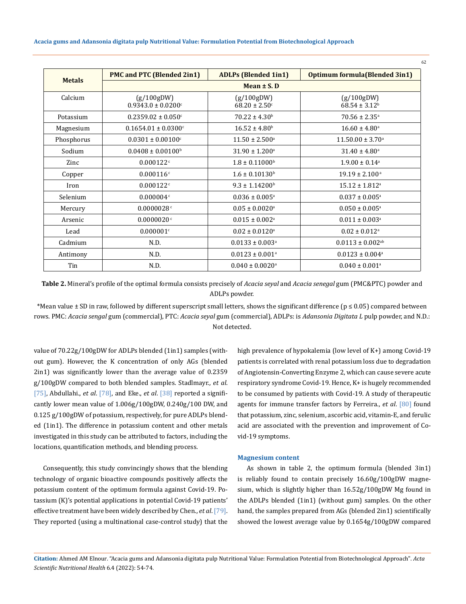|               | <b>PMC and PTC (Blended 2in1)</b>                | <b>ADLPs (Blended 1in1)</b>                 | <b>Optimum formula (Blended 3in1)</b> |  |  |
|---------------|--------------------------------------------------|---------------------------------------------|---------------------------------------|--|--|
| <b>Metals</b> | Mean $\pm$ S. D                                  |                                             |                                       |  |  |
| Calcium       | (g/100gDW)<br>$0.9343.0 \pm 0.0200$ <sup>c</sup> | (g/100gDW)<br>$68.20 \pm 2.50$ <sup>c</sup> | (g/100gDW)<br>$68.54 \pm 3.12^b$      |  |  |
| Potassium     | $0.2359.02 \pm 0.050$ <sup>c</sup>               | $70.22 \pm 4.30^b$                          | $70.56 \pm 2.35^{\rm a}$              |  |  |
| Magnesium     | $0.1654.01 \pm 0.0300$ <sup>c</sup>              | $16.52 \pm 4.80^b$                          | $16.60 \pm 4.80^{\circ}$              |  |  |
| Phosphorus    | $0.0301 \pm 0.00100$ <sup>c</sup>                | $11.50 \pm 2.500^a$                         | $11.50.00 \pm 3.70^a$                 |  |  |
| Sodium        | $0.0408 \pm 0.00100$ <sup>b</sup>                | $31.90 \pm 1.200^{\circ}$                   | $31.40 \pm 4.80^{\circ}$              |  |  |
| Zinc          | 0.000122c                                        | $1.8 \pm 0.11000$ <sup>b</sup>              | $1.9.00 \pm 0.14$ <sup>a</sup>        |  |  |
| Copper        | 0.000116c                                        | $1.6 \pm 0.10130^b$                         | $19.19 \pm 2.100^{\text{ a}}$         |  |  |
| Iron          | 0.000122c                                        | $9.3 \pm 1.14200^{\rm b}$                   | $15.12 \pm 1.812^a$                   |  |  |
| Selenium      | 0.000004c                                        | $0.036 \pm 0.005^{\text{a}}$                | $0.037 \pm 0.005^{\text{a}}$          |  |  |
| Mercury       | 0.0000028c                                       | $0.05 \pm 0.0020$ <sup>a</sup>              | $0.050 \pm 0.005^{\text{a}}$          |  |  |
| Arsenic       | 0.0000020c                                       | $0.015 \pm 0.002$ <sup>a</sup>              | $0.011 \pm 0.003$ <sup>a</sup>        |  |  |
| Lead          | 0.000001c                                        | $0.02 \pm 0.0120^{\text{a}}$                | $0.02 \pm 0.012$ <sup>a</sup>         |  |  |
| Cadmium       | N.D.                                             | $0.0133 \pm 0.003$ <sup>a</sup>             | $0.0113 \pm 0.002$ <sup>ab</sup>      |  |  |
| Antimony      | N.D.                                             | $0.0123 \pm 0.001$ <sup>a</sup>             | $0.0123 \pm 0.004$ <sup>a</sup>       |  |  |
| Tin           | N.D.                                             | $0.040 \pm 0.0020$ <sup>a</sup>             | $0.040 \pm 0.001$ <sup>a</sup>        |  |  |

**Table 2.** Mineral's profile of the optimal formula consists precisely of *Acacia seyal* and *Acacia senegal* gum (PMC&PTC) powder and ADLPs powder.

\*Mean value ± SD in raw, followed by different superscript small letters, shows the significant difference (p ≤ 0.05) compared between rows. PMC: *Acacia sengal* gum (commercial), PTC: *Acacia seyal* gum (commercial), ADLPs: is *Adansonia Digitata L* pulp powder, and N.D.: Not detected.

value of 70.22g/100gDW for ADLPs blended (1in1) samples (without gum). However, the K concentration of only AGs (blended 2in1) was significantly lower than the average value of 0.2359 g/100gDW compared to both blended samples. Stadlmayr., *et al*. [75], Abdullahi., *et al*. [78], and Eke., *et al*. [38] reported a significantly lower mean value of 1.006g/100gDW, 0.240g/100 DW, and 0.125 g/100gDW of potassium, respectively, for pure ADLPs blended (1in1). The difference in potassium content and other metals investigated in this study can be attributed to factors, including the locations, quantification methods, and blending process.

Consequently, this study convincingly shows that the blending technology of organic bioactive compounds positively affects the potassium content of the optimum formula against Covid-19. Potassium (K)'s potential applications in potential Covid-19 patients' effective treatment have been widely described by Chen., *et al*. [79]. They reported (using a multinational case-control study) that the

high prevalence of hypokalemia (low level of K+) among Covid-19 patients is correlated with renal potassium loss due to degradation of Angiotensin-Converting Enzyme 2, which can cause severe acute respiratory syndrome Covid-19. Hence, K+ is hugely recommended to be consumed by patients with Covid-19. A study of therapeutic agents for immune transfer factors by Ferreira., *et al*. [80] found that potassium, zinc, selenium, ascorbic acid, vitamin-E, and ferulic acid are associated with the prevention and improvement of Covid-19 symptoms.

62

#### **Magnesium content**

As shown in table 2, the optimum formula (blended 3in1) is reliably found to contain precisely 16.60g/100gDW magnesium, which is slightly higher than 16.52g/100gDW Mg found in the ADLPs blended (1in1) (without gum) samples. On the other hand, the samples prepared from AGs (blended 2in1) scientifically showed the lowest average value by 0.1654g/100gDW compared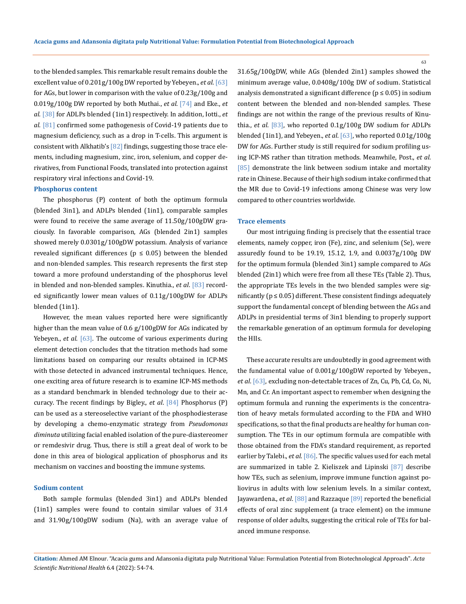to the blended samples. This remarkable result remains double the excellent value of 0.201g/100g DW reported by Yebeyen., *et al*. [63] for AGs, but lower in comparison with the value of 0.23g/100g and 0.019g/100g DW reported by both Muthai., *et al*. [74] and Eke., *et al*. [38] for ADLPs blended (1in1) respectively. In addition, Iotti., *et al*. [81] confirmed some pathogenesis of Covid-19 patients due to magnesium deficiency, such as a drop in T-cells. This argument is consistent with Alkhatib's [82] findings, suggesting those trace elements, including magnesium, zinc, iron, selenium, and copper derivatives, from Functional Foods, translated into protection against respiratory viral infections and Covid-19.

### **Phosphorus content**

The phosphorus (P) content of both the optimum formula (blended 3in1), and ADLPs blended (1in1), comparable samples were found to receive the same average of 11.50g/100gDW graciously. In favorable comparison, AGs (blended 2in1) samples showed merely 0.0301g/100gDW potassium. Analysis of variance revealed significant differences ( $p \leq 0.05$ ) between the blended and non-blended samples. This research represents the first step toward a more profound understanding of the phosphorus level in blended and non-blended samples. Kinuthia., *et al*. [83] recorded significantly lower mean values of 0.11g/100gDW for ADLPs blended (1in1).

However, the mean values reported here were significantly higher than the mean value of 0.6 g/100gDW for AGs indicated by Yebeyen., *et al*. [63]. The outcome of various experiments during element detection concludes that the titration methods had some limitations based on comparing our results obtained in ICP-MS with those detected in advanced instrumental techniques. Hence, one exciting area of future research is to examine ICP-MS methods as a standard benchmark in blended technology due to their accuracy. The recent findings by Bigley., *et al*. [84] Phosphorus (P) can be used as a stereoselective variant of the phosphodiesterase by developing a chemo-enzymatic strategy from *Pseudomonas diminuta* utilizing facial enabled isolation of the pure-diastereomer or remdesivir drug. Thus, there is still a great deal of work to be done in this area of biological application of phosphorus and its mechanism on vaccines and boosting the immune systems.

#### **Sodium content**

Both sample formulas (blended 3in1) and ADLPs blended (1in1) samples were found to contain similar values of 31.4 and 31.90g/100gDW sodium (Na), with an average value of 31.65g/100gDW, while AGs (blended 2in1) samples showed the minimum average value, 0.0408g/100g DW of sodium. Statistical analysis demonstrated a significant difference ( $p \le 0.05$ ) in sodium content between the blended and non-blended samples. These findings are not within the range of the previous results of Kinuthia., *et al*. [83], who reported 0.1g/100g DW sodium for ADLPs blended (1in1), and Yebeyen., *et al*. [63], who reported 0.01g/100g DW for AGs. Further study is still required for sodium profiling using ICP-MS rather than titration methods. Meanwhile, Post., *et al*. [85] demonstrate the link between sodium intake and mortality rate in Chinese. Because of their high sodium intake confirmed that the MR due to Covid-19 infections among Chinese was very low compared to other countries worldwide.

#### **Trace elements**

Our most intriguing finding is precisely that the essential trace elements, namely copper, iron (Fe), zinc, and selenium (Se), were assuredly found to be 19.19, 15.12, 1.9, and 0.0037g/100g DW for the optimum formula (blended 3in1) sample compared to AGs blended (2in1) which were free from all these TEs (Table 2). Thus, the appropriate TEs levels in the two blended samples were significantly ( $p \le 0.05$ ) different. These consistent findings adequately support the fundamental concept of blending between the AGs and ADLPs in presidential terms of 3in1 blending to properly support the remarkable generation of an optimum formula for developing the HIIs.

These accurate results are undoubtedly in good agreement with the fundamental value of 0.001g/100gDW reported by Yebeyen., *et al*. [63], excluding non-detectable traces of Zn, Cu, Pb, Cd, Co, Ni, Mn, and Cr. An important aspect to remember when designing the optimum formula and running the experiments is the concentration of heavy metals formulated according to the FDA and WHO specifications, so that the final products are healthy for human consumption. The TEs in our optimum formula are compatible with those obtained from the FDA's standard requirement, as reported earlier by Talebi., *et al*. [86]. The specific values used for each metal are summarized in table 2. Kieliszek and Lipinski [87] describe how TEs, such as selenium, improve immune function against poliovirus in adults with low selenium levels. In a similar context, Jayawardena., *et al*. [88] and Razzaque [89] reported the beneficial effects of oral zinc supplement (a trace element) on the immune response of older adults, suggesting the critical role of TEs for balanced immune response.

**Citation:** Ahmed AM Elnour*.* "Acacia gums and Adansonia digitata pulp Nutritional Value: Formulation Potential from Biotechnological Approach". *Acta Scientific Nutritional Health* 6.4 (2022): 54-74.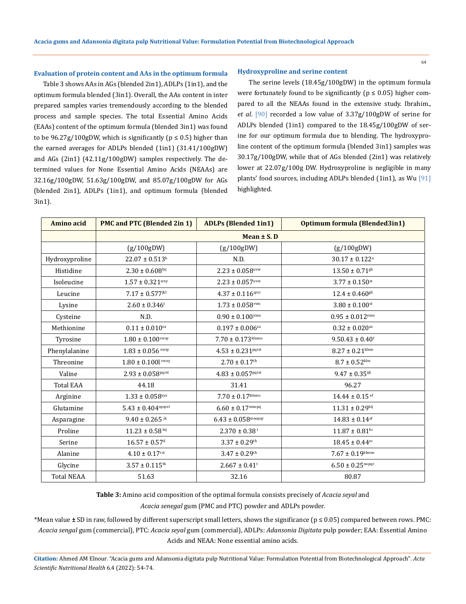#### **Evaluation of protein content and AAs in the optimum formula**

Table 3 shows AAs in AGs (blended 2in1), ADLPs (1in1), and the optimum formula blended (3in1). Overall, the AAs content in inter prepared samples varies tremendously according to the blended process and sample species. The total Essential Amino Acids (EAAs) content of the optimum formula (blended 3in1) was found to be  $96.27g/100gDW$ , which is significantly ( $p \le 0.5$ ) higher than the earned averages for ADLPs blended (1in1) (31.41/100gDW) and AGs (2in1) (42.11g/100gDW) samples respectively. The determined values for None Essential Amino Acids (NEAAs) are 32.16g/100gDW, 51.63g/100gDW, and 85.07g/100gDW for AGs (blended 2in1), ADLPs (1in1), and optimum formula (blended 3in1).

#### **Hydroxyproline and serine content**

The serine levels (18.45g/100gDW) in the optimum formula were fortunately found to be significantly ( $p \le 0.05$ ) higher compared to all the NEAAs found in the extensive study. Ibrahim., *et al*. [90] recorded a low value of 3.37g/100gDW of serine for ADLPs blended (1in1) compared to the 18.45g/100gDW of serine for our optimum formula due to blending. The hydroxyproline content of the optimum formula (blended 3in1) samples was 30.17g/100gDW, while that of AGs blended (2in1) was relatively lower at 22.07g/100g DW. Hydroxyproline is negligible in many plants' food sources, including ADLPs blended (1in1), as Wu [91] highlighted.

| Amino acid        | <b>PMC and PTC (Blended 2in 1)</b> | <b>ADLPs (Blended 1in1)</b>        | <b>Optimum formula (Blended3in1)</b> |  |  |
|-------------------|------------------------------------|------------------------------------|--------------------------------------|--|--|
|                   | Mean $\pm$ S. D                    |                                    |                                      |  |  |
|                   | (g/100gDW)                         | (g/100gDW)                         | (g/100gDW)                           |  |  |
| Hydroxyproline    | $22.07 \pm 0.513^b$                | N.D.                               | $30.17 \pm 0.122$ <sup>a</sup>       |  |  |
| Histidine         | $2.30 \pm 0.608$ hij               | $2.23 \pm 0.058$ uvw               | $13.50 \pm 0.71$ <sup>gh</sup>       |  |  |
| Isoleucine        | $1.57\pm0.321^{\mathrm{wxy}}$      | $2.23 \pm 0.057$ uvw               | $3.77 \pm 0.150$ st                  |  |  |
| Leucine           | $7.17 \pm 0.577^{jkl}$             | $4.37 \pm 0.116$ qrst              | $12.4 \pm 0.460^{\rm gh}$            |  |  |
| Lysine            | $2.60 \pm 0.346$ <sup>t</sup>      | $1.73 \pm 0.058$ <sup>vwx</sup>    | $3.80 \pm 0.100$ st                  |  |  |
| Cysteine          | N.D.                               | $0.90 \pm 0.100$ yzaa              | $0.95 \pm 0.012$ yzaa                |  |  |
| Methionine        | $0.11 \pm 0.010^{za}$              | $0.197 \pm 0.006$ <sup>za</sup>    | $0.32 \pm 0.020$ <sup>za</sup>       |  |  |
| Tyrosine          | $1.80 \pm 0.100$ <sup>vwxy</sup>   | $7.70 \pm 0.173$ <sup>klmno</sup>  | $9.50.43 \pm 0.40$ <sup>f</sup>      |  |  |
| Phenylalanine     | $1.83 \pm 0.056$ vwxy              | $4.53 \pm 0.231^{pqrst}$           | $8.27 \pm 0.21$ <sup>klmn</sup>      |  |  |
| Threonine         | $1.80 \pm 0.100$ l vwxy            | $2.70 \pm 0.17^{\rm th}$           | $8.7 \pm 0.52$ <sup>klm</sup>        |  |  |
| Valine            | $2.93 \pm 0.058$ pqrst             | $4.83 \pm 0.057$ pqrst             | $9.47 \pm 0.35$ ijk                  |  |  |
| <b>Total EAA</b>  | 44.18                              | 31.41                              | 96.27                                |  |  |
| Arginine          | $1.33 \pm 0.058$ <sup>xyz</sup>    | $7.70 \pm 0.17$ <sup>klmno</sup>   | $14.44 \pm 0.15$ ef                  |  |  |
| Glutamine         | $5.43 \pm 0.404$ <sup>opqrst</sup> | $6.60 \pm 0.17$ <sup>mnopq</sup>   | $11.31 \pm 0.29^{\rm hij}$           |  |  |
| Asparagine        | $9.40 \pm 0.265$ jk                | $6.43 \pm 0.058$ <sup>mnopqr</sup> | $14.83\pm0.14^{\rm ef}$              |  |  |
| Proline           | $11.23 \pm 0.58$ hij               | $2.370 \pm 0.38$ <sup>t</sup>      | $11.87 \pm 0.81^{\rm hi}$            |  |  |
| Serine            | $16.57 \pm 0.57$ <sup>d</sup>      | $3.37 \pm 0.29$ <sup>th</sup>      | $18.45 \pm 0.44$ <sup>ec</sup>       |  |  |
| Alanine           | $4.10 \pm 0.17^{\rm{rst}}$         | $3.47 \pm 0.29$ <sup>th</sup>      | $7.67 \pm 0.19$ <sup>klmno</sup>     |  |  |
| Glycine           | $3.57 \pm 0.115$ <sup>th</sup>     | $2.667 \pm 0.41$ <sup>t</sup>      | $6.50 \pm 0.25$ <sup>nopqr</sup>     |  |  |
| <b>Total NEAA</b> | 51.63                              | 32.16                              | 80.87                                |  |  |

**Table 3:** Amino acid composition of the optimal formula consists precisely of *Acacia seyal* and

*Acacia senegal* gum (PMC and PTC) powder and ADLPs powder.

\*Mean value **±** SD in raw, followed by different superscript small letters, shows the significance (p ≤ 0.05) compared between rows. PMC: *Acacia sengal* gum (commercial), PTC: *Acacia seyal* gum (commercial), ADLPs: *Adansonia Digitata* pulp powder; EAA: Essential Amino Acids and NEAA: None essential amino acids.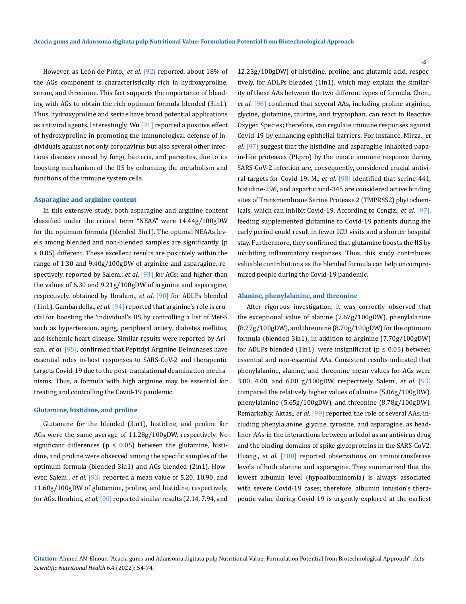However, as León de Pinto., *et al*. [92] reported, about 18% of the AGs component is characteristically rich in hydroxyproline, serine, and threonine. This fact supports the importance of blending with AGs to obtain the rich optimum formula blended (3in1). Thus, hydroxyproline and serine have broad potential applications as antiviral agents. Interestingly, Wu [91] reported a positive effect of hydroxyproline in promoting the immunological defense of individuals against not only coronavirus but also several other infectious diseases caused by fungi, bacteria, and parasites, due to its boosting mechanism of the IIS by enhancing the metabolism and functions of the immune system cells.

#### **Asparagine and arginine content**

In this extensive study, both asparagine and arginine content classified under the critical term "NEAA" were 14.44g/100gDW for the optimum formula (blended 3in1). The optimal NEAAs levels among blended and non-blended samples are significantly (p ≤ 0.05) different. These excellent results are positively within the range of 1.30 and 9.40g/100gDW of arginine and asparagine, respectively, reported by Salem., *et al*. [93] for AGs; and higher than the values of 6.30 and 9.21g/100gDW of arginine and asparagine, respectively, obtained by Ibrahim., *et al*. [90] for ADLPs blended (1in1). Gambardella., *et al*. [94] reported that arginine's role is crucial for boosting the 'individual's IIS by controlling a list of Met-S such as hypertension, aging, peripheral artery, diabetes mellitus, and ischemic heart disease. Similar results were reported by Arisan., *et al*. [95], confirmed that Peptidyl Arginine Deiminases have essential roles in-host responses to SARS-CoV-2 and therapeutic targets Covid-19 due to the post-translational deamination mechanisms. Thus, a formula with high arginine may be essential for treating and controlling the Covid-19 pandemic.

#### **Glutamine, histidine, and proline**

Glutamine for the blended (3in1), histidine, and proline for AGs were the same average of 11.28g/100gDW, respectively. No significant differences ( $p \leq 0.05$ ) between the glutamine, histidine, and proline were observed among the specific samples of the optimum formula (blended 3in1) and AGs blended (2in1). However, Salem., *et al*. [93] reported a mean value of 5.20, 10.90, and 11.60g/100gDW of glutamine, proline, and histidine, respectively, for AGs. Ibrahim., *et al*. [90] reported similar results (2.14, 7.94, and 12.23g/100gDW) of histidine, proline, and glutamic acid, respectively, for ADLPs blended (1in1), which may explain the similarity of these AAs between the two different types of formula. Chen., *et al*. [96] confirmed that several AAs, including proline arginine, glycine, glutamine, taurine, and tryptophan, can react to Reactive Oxygen Species; therefore, can regulate immune responses against Covid-19 by enhancing epithelial barriers. For instance, Mirza., *et al*. [97] suggest that the histidine and asparagine inhabited papain-like proteases (PLpro) by the innate immune response during SARS-CoV-2 infection are, consequently, considered crucial antiviral targets for Covid-19. M., *et al*. [98] identified that serine-441, histidine-296, and aspartic acid-345 are considered active binding sites of Transmembrane Serine Protease 2 (TMPRSS2) phytochemicals, which can inhibit Covid-19. According to Cengiz., *et al*. [97], feeding supplemented glutamine to Covid-19 patients during the early period could result in fewer ICU visits and a shorter hospital stay. Furthermore, they confirmed that glutamine boosts the IIS by inhibiting inflammatory responses. Thus, this study contributes valuable contributions as the blended formula can help uncompromized people during the Covid-19 pandemic.

#### **Alanine, phenylalanine, and threonine**

After rigorous investigation, it was correctly observed that the exceptional value of alanine (7.67g/100gDW), phenylalanine (8.27g/100gDW), and threonine (8.70g/100gDW) for the optimum formula (blended 3in1), in addition to arginine (7.70g/100gDW) for ADLPs blended (1in1), were insignificant ( $p \le 0.05$ ) between essential and non-essential AAs. Consistent results indicated that phenylalanine, alanine, and threonine mean values for AGs were 3.80, 4.00, and 6.80 g/100gDW, respectively. Salem., *et al*. [93] compared the relatively higher values of alanine (5.06g/100gDW), phenylalanine (5.65g/100gDW), and threonine (8.78g/100gDW). Remarkably, Aktas., *et al*. [99] reported the role of several AAs, including phenylalanine, glycine, tyrosine, and asparagine, as headliner AAs in the interactions between arbidol as an antivirus drug and the binding domains of spike glycoproteins in the SARS-CoV2. Huang., *et al*. [100] reported observations on aminotransferase levels of both alanine and asparagine. They summarized that the lowest albumin level (hypoalbuminemia) is always associated with severe Covid-19 cases; therefore, albumin infusion's therapeutic value during Covid-19 is urgently explored at the earliest

**Citation:** Ahmed AM Elnour*.* "Acacia gums and Adansonia digitata pulp Nutritional Value: Formulation Potential from Biotechnological Approach". *Acta Scientific Nutritional Health* 6.4 (2022): 54-74.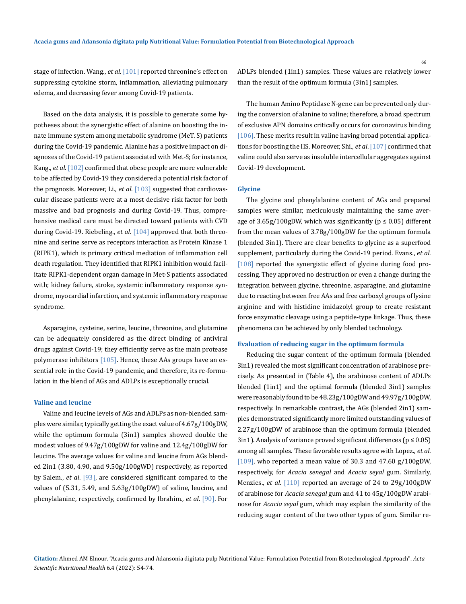stage of infection. Wang., *et al*. [101] reported threonine's effect on suppressing cytokine storm, inflammation, alleviating pulmonary edema, and decreasing fever among Covid-19 patients.

Based on the data analysis, it is possible to generate some hypotheses about the synergistic effect of alanine on boosting the innate immune system among metabolic syndrome (MeT. S) patients during the Covid-19 pandemic. Alanine has a positive impact on diagnoses of the Covid-19 patient associated with Met-S; for instance, Kang., *et al*. [102] confirmed that obese people are more vulnerable to be affected by Covid-19 they considered a potential risk factor of the prognosis. Moreover, Li., *et al*. [103] suggested that cardiovascular disease patients were at a most decisive risk factor for both massive and bad prognosis and during Covid-19. Thus, comprehensive medical care must be directed toward patients with CVD during Covid-19. Riebeling., *et al*. [104] approved that both threonine and serine serve as receptors interaction as Protein Kinase 1 (RIPK1), which is primary critical mediation of inflammation cell death regulation. They identified that RIPK1 inhibition would facilitate RIPK1-dependent organ damage in Met-S patients associated with; kidney failure, stroke, systemic inflammatory response syndrome, myocardial infarction, and systemic inflammatory response syndrome.

Asparagine, cysteine, serine, leucine, threonine, and glutamine can be adequately considered as the direct binding of antiviral drugs against Covid-19; they efficiently serve as the main protease polymerase inhibitors  $[105]$ . Hence, these AAs groups have an essential role in the Covid-19 pandemic, and therefore, its re-formulation in the blend of AGs and ADLPs is exceptionally crucial.

#### **Valine and leucine**

Valine and leucine levels of AGs and ADLPs as non-blended samples were similar, typically getting the exact value of 4.67g/100gDW, while the optimum formula (3in1) samples showed double the modest values of 9.47g/100gDW for valine and 12.4g/100gDW for leucine. The average values for valine and leucine from AGs blended 2in1 (3.80, 4.90, and 9.50g/100gWD) respectively, as reported by Salem., *et al*. [93], are considered significant compared to the values of (5.31, 5.49, and 5.63g/100gDW) of valine, leucine, and phenylalanine, respectively, confirmed by Ibrahim., *et al*. [90]. For ADLPs blended (1in1) samples. These values are relatively lower than the result of the optimum formula (3in1) samples.

The human Amino Peptidase N-gene can be prevented only during the conversion of alanine to valine; therefore, a broad spectrum of exclusive APN domains critically occurs for coronavirus binding [106]. These merits result in valine having broad potential applications for boosting the IIS. Moreover, Shi., *et al*. [107] confirmed that valine could also serve as insoluble intercellular aggregates against Covid-19 development.

# **Glycine**

The glycine and phenylalanine content of AGs and prepared samples were similar, meticulously maintaining the same average of  $3.65g/100gDW$ , which was significantly ( $p \le 0.05$ ) different from the mean values of 3.78g/100gDW for the optimum formula (blended 3in1). There are clear benefits to glycine as a superfood supplement, particularly during the Covid-19 period. Evans., *et al*. [108] reported the synergistic effect of glycine during food processing. They approved no destruction or even a change during the integration between glycine, threonine, asparagine, and glutamine due to reacting between free AAs and free carboxyl groups of lysine arginine and with histidine imidazolyl group to create resistant force enzymatic cleavage using a peptide-type linkage. Thus, these phenomena can be achieved by only blended technology.

#### **Evaluation of reducing sugar in the optimum formula**

Reducing the sugar content of the optimum formula (blended 3in1) revealed the most significant concentration of arabinose precisely. As presented in (Table 4), the arabinose content of ADLPs blended (1in1) and the optimal formula (blended 3in1) samples were reasonably found to be 48.23g/100gDW and 49.97g/100gDW, respectively. In remarkable contrast, the AGs (blended 2in1) samples demonstrated significantly more limited outstanding values of 2.27g/100gDW of arabinose than the optimum formula (blended 3in1). Analysis of variance proved significant differences ( $p \le 0.05$ ) among all samples. These favorable results agree with Lopez., *et al*. [ $109$ ], who reported a mean value of 30.3 and 47.60 g/ $100$ gDW, respectively, for *Acacia senegal* and *Acacia seyal* gum. Similarly, Menzies., *et al*. [110] reported an average of 24 to 29g/100gDW of arabinose for *Acacia senegal* gum and 41 to 45g/100gDW arabinose for *Acacia seyal* gum, which may explain the similarity of the reducing sugar content of the two other types of gum. Similar re-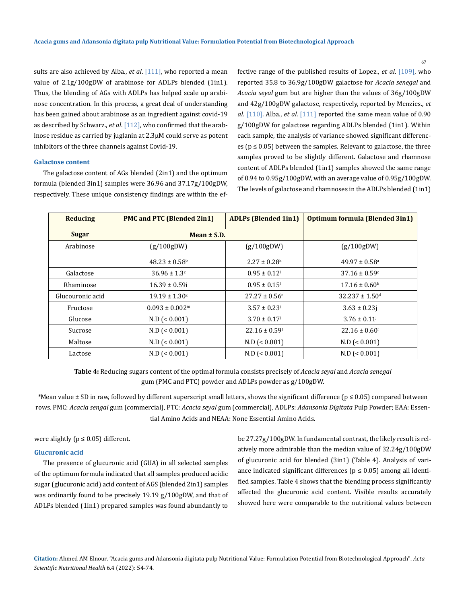sults are also achieved by Alba., *et al*. [111], who reported a mean value of 2.1g/100gDW of arabinose for ADLPs blended (1in1). Thus, the blending of AGs with ADLPs has helped scale up arabinose concentration. In this process, a great deal of understanding has been gained about arabinose as an ingredient against covid-19 as described by Schwarz., *et al*. [112], who confirmed that the arabinose residue as carried by juglanin at 2.3μM could serve as potent inhibitors of the three channels against Covid-19.

### **Galactose content**

The galactose content of AGs blended (2in1) and the optimum formula (blended 3in1) samples were 36.96 and 37.17g/100gDW, respectively. These unique consistency findings are within the effective range of the published results of Lopez., *et al*. [109], who reported 35.8 to 36.9g/100gDW galactose for *Acacia senegal* and *Acacia seyal* gum but are higher than the values of 36g/100gDW and 42g/100gDW galactose, respectively, reported by Menzies., *et al*. [110]. Alba., *et al*. [111] reported the same mean value of 0.90 g/100gDW for galactose regarding ADLPs blended (1in1). Within each sample, the analysis of variance showed significant differences ( $p \le 0.05$ ) between the samples. Relevant to galactose, the three samples proved to be slightly different. Galactose and rhamnose content of ADLPs blended (1in1) samples showed the same range of 0.94 to 0.95g/100gDW, with an average value of 0.95g/100gDW. The levels of galactose and rhamnoses in the ADLPs blended (1in1)

| <b>Reducing</b>  | <b>PMC and PTC (Blended 2in1)</b> | <b>ADLPs (Blended 1in1)</b>   | <b>Optimum formula (Blended 3in1)</b> |
|------------------|-----------------------------------|-------------------------------|---------------------------------------|
| <b>Sugar</b>     | Mean $\pm$ S.D.                   |                               |                                       |
| Arabinose        | (g/100gDW)                        | (g/100gDW)                    | (g/100gDW)                            |
|                  | $48.23 \pm 0.58$ <sup>b</sup>     | $2.27 \pm 0.28$ <sup>k</sup>  | $49.97 \pm 0.58$ <sup>a</sup>         |
| Galactose        | $36.96 \pm 1.3$ <sup>c</sup>      | $0.95 \pm 0.12$               | $37.16 \pm 0.59$ <sup>c</sup>         |
| Rhaminose        | $16.39 \pm 0.59i$                 | $0.95 \pm 0.15$ <sup>1</sup>  | $17.16 \pm 0.60$ <sup>h</sup>         |
| Glucouronic acid | $19.19 \pm 1.30$ <sup>g</sup>     | $27.27 \pm 0.56$ <sup>e</sup> | $32.237 \pm 1.50$ <sup>d</sup>        |
| Fructose         | $0.093 \pm 0.002$ <sup>m</sup>    | $3.57 \pm 0.23$               | $3.63 \pm 0.23j$                      |
| Glucose          | $N.D$ (< 0.001)                   | $3.70 \pm 0.17$ <sup>j</sup>  | $3.76 \pm 0.11$ <sup>j</sup>          |
| Sucrose          | $N.D$ (< 0.001)                   | $22.16 \pm 0.59$ <sup>f</sup> | $22.16 \pm 0.60$ <sup>f</sup>         |
| Maltose          | $N.D$ (< 0.001)                   | $N.D$ (< 0.001)               | $N.D$ (< 0.001)                       |
| Lactose          | $N.D$ (< 0.001)                   | $N.D$ (< 0.001)               | $N.D$ (< 0.001)                       |

**Table 4:** Reducing sugars content of the optimal formula consists precisely of *Acacia seyal* and *Acacia senegal*  gum (PMC and PTC) powder and ADLPs powder as g/100gDW.

*\*Mean value* ± SD in raw, followed by different superscript small letters, shows the significant difference (p ≤ 0.05) compared between rows. PMC: *Acacia sengal* gum (commercial), PTC: *Acacia seyal* gum (commercial), ADLPs: *Adansonia Digitata* Pulp Powder; EAA: Essential Amino Acids and NEAA: None Essential Amino Acids.

were slightly ( $p \le 0.05$ ) different.

# **Glucuronic acid**

The presence of glucuronic acid (GUA) in all selected samples of the optimum formula indicated that all samples produced acidic sugar (glucuronic acid) acid content of AGS (blended 2in1) samples was ordinarily found to be precisely 19.19 g/100gDW, and that of ADLPs blended (1in1) prepared samples was found abundantly to be 27.27g/100gDW. In fundamental contrast, the likely result is relatively more admirable than the median value of 32.24g/100gDW of glucuronic acid for blended (3in1) (Table 4). Analysis of variance indicated significant differences ( $p \le 0.05$ ) among all identified samples. Table 4 shows that the blending process significantly affected the glucuronic acid content. Visible results accurately showed here were comparable to the nutritional values between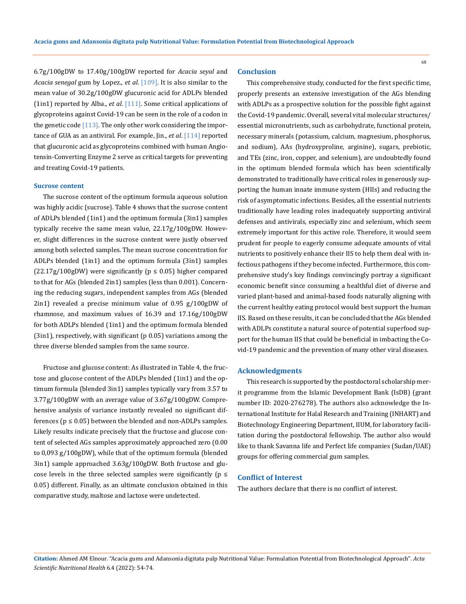6.7g/100gDW to 17.40g/100gDW reported for *Acacia seyal* and *Acacia senegal* gum by Lopez., *et al*. [109]. It is also similar to the mean value of 30.2g/100gDW glucuronic acid for ADLPs blended (1in1) reported by Alba., *et al*. [111]. Some critical applications of glycoproteins against Covid-19 can be seen in the role of a codon in the genetic code  $[113]$ . The only other work considering the importance of GUA as an antiviral. For example, Jin., *et al*. [114] reported that glucuronic acid as glycoproteins combined with human Angiotensin-Converting Enzyme 2 serve as critical targets for preventing and treating Covid-19 patients.

#### **Sucrose content**

The sucrose content of the optimum formula aqueous solution was highly acidic (sucrose). Table 4 shows that the sucrose content of ADLPs blended (1in1) and the optimum formula (3in1) samples typically receive the same mean value, 22.17g/100gDW. However, slight differences in the sucrose content were justly observed among both selected samples. The mean sucrose concentration for ADLPs blended (1in1) and the optimum formula (3in1) samples  $(22.17g/100gDW)$  were significantly ( $p \le 0.05$ ) higher compared to that for AGs (blended 2in1) samples (less than 0.001). Concerning the reducing sugars, independent samples from AGs (blended 2in1) revealed a precise minimum value of 0.95 g/100gDW of rhamnose, and maximum values of 16.39 and 17.16g/100gDW for both ADLPs blended (1in1) and the optimum formula blended (3in1), respectively, with significant (p 0.05) variations among the three diverse blended samples from the same source.

Fructose and glucose content: As illustrated in Table 4, the fructose and glucose content of the ADLPs blended (1in1) and the optimum formula (blended 3in1) samples typically vary from 3.57 to 3.77g/100gDW with an average value of 3.67g/100gDW. Comprehensive analysis of variance instantly revealed no significant differences ( $p \le 0.05$ ) between the blended and non-ADLPs samples. Likely results indicate precisely that the fructose and glucose content of selected AGs samples approximately approached zero (0.00 to 0,093 g/100gDW), while that of the optimum formula (blended 3in1) sample approached 3.63g/100gDW. Both fructose and glucose levels in the three selected samples were significantly ( $p \le$ 0.05) different. Finally, as an ultimate conclusion obtained in this comparative study, maltose and lactose were undetected.

#### **Conclusion**

This comprehensive study, conducted for the first specific time, properly presents an extensive investigation of the AGs blending with ADLPs as a prospective solution for the possible fight against the Covid-19 pandemic. Overall, several vital molecular structures/ essential micronutrients, such as carbohydrate, functional protein, necessary minerals (potassium, calcium, magnesium, phosphorus, and sodium), AAs (hydroxyproline, arginine), sugars, prebiotic, and TEs (zinc, iron, copper, and selenium), are undoubtedly found in the optimum blended formula which has been scientifically demonstrated to traditionally have critical roles in generously supporting the human innate immune system (HIIs) and reducing the risk of asymptomatic infections. Besides, all the essential nutrients traditionally have leading roles inadequately supporting antiviral defenses and antivirals, especially zinc and selenium, which seem extremely important for this active role. Therefore, it would seem prudent for people to eagerly consume adequate amounts of vital nutrients to positively enhance their IIS to help them deal with infectious pathogens if they become infected. Furthermore, this comprehensive study's key findings convincingly portray a significant economic benefit since consuming a healthful diet of diverse and varied plant-based and animal-based foods naturally aligning with the current healthy eating protocol would best support the human IIS. Based on these results, it can be concluded that the AGs blended with ADLPs constitute a natural source of potential superfood support for the human IIS that could be beneficial in imbacting the Covid-19 pandemic and the prevention of many other viral diseases.

#### **Acknowledgments**

This research is supported by the postdoctoral scholarship merit programme from the Islamic Development Bank (IsDB) (grant number ID: 2020-276278). The authors also acknowledge the International Institute for Halal Research and Training (INHART) and Biotechnology Engineering Department, IIUM, for laboratory facilitation during the postdoctoral fellowship. The author also would like to thank Savanna life and Perfect life companies (Sudan/UAE) groups for offering commercial gum samples.

# **Conflict of Interest**

The authors declare that there is no conflict of interest.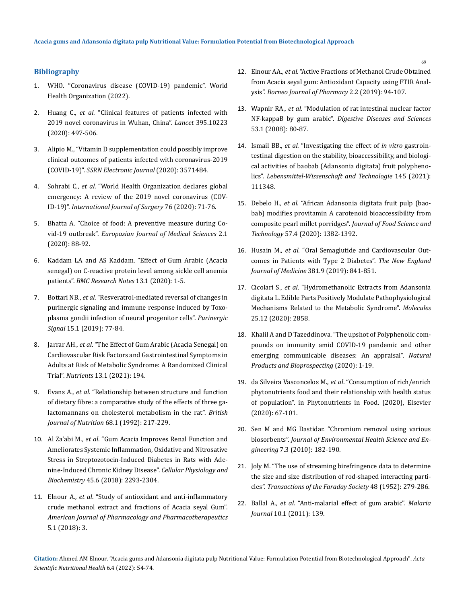# **Bibliography**

- 1. [WHO. "Coronavirus disease \(COVID-19\) pandemic". World](https://www.who.int/emergencies/diseases/novel-coronavirus-2019)  [Health Organization \(2022\).](https://www.who.int/emergencies/diseases/novel-coronavirus-2019)
- 2. Huang C., *et al*[. "Clinical features of patients infected with](https://pubmed.ncbi.nlm.nih.gov/31986264/)  [2019 novel coronavirus in Wuhan, China".](https://pubmed.ncbi.nlm.nih.gov/31986264/) *Lancet* 395.10223 [\(2020\): 497-506.](https://pubmed.ncbi.nlm.nih.gov/31986264/)
- 3. [Alipio M., "Vitamin D supplementation could possibly improve](https://www.researchgate.net/publication/340557232_Vitamin_D_Supplementation_Could_Possibly_Improve_Clinical_Outcomes_of_Patients_Infected_with_Coronavirus-2019_COVID-2019)  [clinical outcomes of patients infected with coronavirus-2019](https://www.researchgate.net/publication/340557232_Vitamin_D_Supplementation_Could_Possibly_Improve_Clinical_Outcomes_of_Patients_Infected_with_Coronavirus-2019_COVID-2019)  (COVID-19)". *[SSRN Electronic Journal](https://www.researchgate.net/publication/340557232_Vitamin_D_Supplementation_Could_Possibly_Improve_Clinical_Outcomes_of_Patients_Infected_with_Coronavirus-2019_COVID-2019)* (2020): 3571484.
- 4. Sohrabi C., *et al*[. "World Health Organization declares global](https://pubmed.ncbi.nlm.nih.gov/32112977/)  [emergency: A review of the 2019 novel coronavirus \(COV-](https://pubmed.ncbi.nlm.nih.gov/32112977/)ID-19)". *[International Journal of Surgery](https://pubmed.ncbi.nlm.nih.gov/32112977/)* 76 (2020): 71-76.
- 5. [Bhatta A. "Choice of food: A preventive measure during Co](https://www.researchgate.net/publication/341406915_Choice_of_Food_A_Preventive_Measure_during_Covid-19_Outbreak)vid-19 outbreak". *[Europasian Journal of Medical Sciences](https://www.researchgate.net/publication/341406915_Choice_of_Food_A_Preventive_Measure_during_Covid-19_Outbreak)* 2.1 [\(2020\): 88-92.](https://www.researchgate.net/publication/341406915_Choice_of_Food_A_Preventive_Measure_during_Covid-19_Outbreak)
- 6. [Kaddam LA and AS Kaddam. "Effect of Gum Arabic \(Acacia](https://pubmed.ncbi.nlm.nih.gov/32188508/)  [senegal\) on C-reactive protein level among sickle cell anemia](https://pubmed.ncbi.nlm.nih.gov/32188508/)  patients". *[BMC Research Notes](https://pubmed.ncbi.nlm.nih.gov/32188508/)* 13.1 (2020): 1-5.
- 7. Bottari NB., *et al*[. "Resveratrol-mediated reversal of changes in](https://pubmed.ncbi.nlm.nih.gov/30535987/)  [purinergic signaling and immune response induced by Toxo](https://pubmed.ncbi.nlm.nih.gov/30535987/)[plasma gondii infection of neural progenitor cells".](https://pubmed.ncbi.nlm.nih.gov/30535987/) *Purinergic Signal* [15.1 \(2019\): 77-84.](https://pubmed.ncbi.nlm.nih.gov/30535987/)
- 8. Jarrar AH., *et al*[. "The Effect of Gum Arabic \(Acacia Senegal\) on](https://pubmed.ncbi.nlm.nih.gov/33435475/)  [Cardiovascular Risk Factors and Gastrointestinal Symptoms in](https://pubmed.ncbi.nlm.nih.gov/33435475/)  [Adults at Risk of Metabolic Syndrome: A Randomized Clinical](https://pubmed.ncbi.nlm.nih.gov/33435475/)  Trial". *Nutrients* [13.1 \(2021\): 194.](https://pubmed.ncbi.nlm.nih.gov/33435475/)
- 9. Evans A., *et al*[. "Relationship between structure and function](https://pubmed.ncbi.nlm.nih.gov/1327099/)  [of dietary fibre: a comparative study of the effects of three ga](https://pubmed.ncbi.nlm.nih.gov/1327099/)[lactomannans on cholesterol metabolism in the rat".](https://pubmed.ncbi.nlm.nih.gov/1327099/) *British [Journal of Nutrition](https://pubmed.ncbi.nlm.nih.gov/1327099/)* 68.1 (1992): 217-229.
- 10. Al Za'abi M., *et al*[. "Gum Acacia Improves Renal Function and](https://pubmed.ncbi.nlm.nih.gov/29550811/)  [Ameliorates Systemic Inflammation, Oxidative and Nitrosative](https://pubmed.ncbi.nlm.nih.gov/29550811/)  [Stress in Streptozotocin-Induced Diabetes in Rats with Ade](https://pubmed.ncbi.nlm.nih.gov/29550811/)[nine-Induced Chronic Kidney Disease".](https://pubmed.ncbi.nlm.nih.gov/29550811/) *Cellular Physiology and Biochemistry* [45.6 \(2018\): 2293-2304.](https://pubmed.ncbi.nlm.nih.gov/29550811/)
- 11. Elnour A., *et al*[. "Study of antioxidant and anti-inflammatory](https://www.researchgate.net/publication/327915544_Study_of_Antioxidant_and_Anti-Inflammatory_Crude_Methanol_Extract_and_Fractions_of_Acacia_seyal_Gum)  [crude methanol extract and fractions of Acacia seyal Gum".](https://www.researchgate.net/publication/327915544_Study_of_Antioxidant_and_Anti-Inflammatory_Crude_Methanol_Extract_and_Fractions_of_Acacia_seyal_Gum)  *[American Journal of Pharmacology and Pharmacotherapeutics](https://www.researchgate.net/publication/327915544_Study_of_Antioxidant_and_Anti-Inflammatory_Crude_Methanol_Extract_and_Fractions_of_Acacia_seyal_Gum)*  [5.1 \(2018\): 3.](https://www.researchgate.net/publication/327915544_Study_of_Antioxidant_and_Anti-Inflammatory_Crude_Methanol_Extract_and_Fractions_of_Acacia_seyal_Gum)
- 12. Elnour AA., *et al*[. "Active Fractions of Methanol Crude Obtained](https://www.researchgate.net/publication/337260545_Active_Fractions_of_Methanol_Crude_Obtained_from_Acacia_seyal_gum_Antioxidant_Capacity_using_FTIR_Analysis)  [from Acacia seyal gum: Antioxidant Capacity using FTIR Anal](https://www.researchgate.net/publication/337260545_Active_Fractions_of_Methanol_Crude_Obtained_from_Acacia_seyal_gum_Antioxidant_Capacity_using_FTIR_Analysis)ysis". *[Borneo Journal of Pharmacy](https://www.researchgate.net/publication/337260545_Active_Fractions_of_Methanol_Crude_Obtained_from_Acacia_seyal_gum_Antioxidant_Capacity_using_FTIR_Analysis)* 2.2 (2019): 94-107.
- 13. Wapnir RA., *et al*[. "Modulation of rat intestinal nuclear factor](https://pubmed.ncbi.nlm.nih.gov/17486449/)  NF-kappaB by gum arabic". *[Digestive Diseases and Sciences](https://pubmed.ncbi.nlm.nih.gov/17486449/)* [53.1 \(2008\): 80-87.](https://pubmed.ncbi.nlm.nih.gov/17486449/)
- 14. Ismail BB., *et al*[. "Investigating the effect of](https://www.sciencedirect.com/science/article/abs/pii/S0023643821005016) *in vitro* gastroin[testinal digestion on the stability, bioaccessibility, and biologi](https://www.sciencedirect.com/science/article/abs/pii/S0023643821005016)[cal activities of baobab \(Adansonia digitata\) fruit polypheno](https://www.sciencedirect.com/science/article/abs/pii/S0023643821005016)lics". *[Lebensmittel-Wissenschaft and Technologie](https://www.sciencedirect.com/science/article/abs/pii/S0023643821005016)* 145 (2021): [111348.](https://www.sciencedirect.com/science/article/abs/pii/S0023643821005016)
- 15. Debelo H., *et al*[. "African Adansonia digitata fruit pulp \(bao](https://pubmed.ncbi.nlm.nih.gov/32180634/)[bab\) modifies provitamin A carotenoid bioaccessibility from](https://pubmed.ncbi.nlm.nih.gov/32180634/)  [composite pearl millet porridges".](https://pubmed.ncbi.nlm.nih.gov/32180634/) *Journal of Food Science and Technology* [57.4 \(2020\): 1382-1392.](https://pubmed.ncbi.nlm.nih.gov/32180634/)
- 16. Husain M., *et al*[. "Oral Semaglutide and Cardiovascular Out](https://pubmed.ncbi.nlm.nih.gov/31185157/)[comes in Patients with Type 2 Diabetes".](https://pubmed.ncbi.nlm.nih.gov/31185157/) *The New England Journal of Medicine* [381.9 \(2019\): 841-851.](https://pubmed.ncbi.nlm.nih.gov/31185157/)
- 17. Cicolari S., *et al*[. "Hydromethanolic Extracts from Adansonia](https://www.researchgate.net/publication/342344615_Hydromethanolic_Extracts_from_Adansonia_digitata_L_Edible_Parts_Positively_Modulate_Pathophysiological_Mechanisms_Related_to_the_Metabolic_Syndrome)  [digitata L. Edible Parts Positively Modulate Pathophysiological](https://www.researchgate.net/publication/342344615_Hydromethanolic_Extracts_from_Adansonia_digitata_L_Edible_Parts_Positively_Modulate_Pathophysiological_Mechanisms_Related_to_the_Metabolic_Syndrome)  [Mechanisms Related to the Metabolic Syndrome".](https://www.researchgate.net/publication/342344615_Hydromethanolic_Extracts_from_Adansonia_digitata_L_Edible_Parts_Positively_Modulate_Pathophysiological_Mechanisms_Related_to_the_Metabolic_Syndrome) *Molecules*  [25.12 \(2020\): 2858.](https://www.researchgate.net/publication/342344615_Hydromethanolic_Extracts_from_Adansonia_digitata_L_Edible_Parts_Positively_Modulate_Pathophysiological_Mechanisms_Related_to_the_Metabolic_Syndrome)
- 18. [Khalil A and D Tazeddinova. "The upshot of Polyphenolic com](https://pubmed.ncbi.nlm.nih.gov/33057955/)[pounds on immunity amid COVID-19 pandemic and other](https://pubmed.ncbi.nlm.nih.gov/33057955/)  [emerging communicable diseases: An appraisal".](https://pubmed.ncbi.nlm.nih.gov/33057955/) *Natural [Products and Bioprospecting](https://pubmed.ncbi.nlm.nih.gov/33057955/)* (2020): 1-19.
- 19. da Silveira Vasconcelos M., *et al*[. "Consumption of rich/enrich](https://www.sciencedirect.com/science/article/pii/B978012815354300006X)  [phytonutrients food and their relationship with health status](https://www.sciencedirect.com/science/article/pii/B978012815354300006X)  [of population". in Phytonutrients in Food. \(2020\), Elsevier](https://www.sciencedirect.com/science/article/pii/B978012815354300006X)  [\(2020\): 67-101.](https://www.sciencedirect.com/science/article/pii/B978012815354300006X)
- 20. [Sen M and MG Dastidar. "Chromium removal using various](https://hero.epa.gov/hero/index.cfm/reference/details/reference_id/1576623)  biosorbents". *[Journal of Environmental Health Science and En](https://hero.epa.gov/hero/index.cfm/reference/details/reference_id/1576623)gineering* [7.3 \(2010\): 182-190.](https://hero.epa.gov/hero/index.cfm/reference/details/reference_id/1576623)
- 21. [Joly M. "The use of streaming birefringence data to determine](https://pubs.rsc.org/en/Content/ArticleLanding/1952/TF/tf9524800279)  [the size and size distribution of rod-shaped interacting parti](https://pubs.rsc.org/en/Content/ArticleLanding/1952/TF/tf9524800279)cles". *[Transactions of the Faraday Society](https://pubs.rsc.org/en/Content/ArticleLanding/1952/TF/tf9524800279)* 48 (1952): 279-286.
- 22. Ballal A., *et al*[. "Anti-malarial effect of gum arabic".](https://pubmed.ncbi.nlm.nih.gov/21599958/) *Malaria Journal* [10.1 \(2011\): 139.](https://pubmed.ncbi.nlm.nih.gov/21599958/)

**Citation:** Ahmed AM Elnour*.* "Acacia gums and Adansonia digitata pulp Nutritional Value: Formulation Potential from Biotechnological Approach". *Acta Scientific Nutritional Health* 6.4 (2022): 54-74.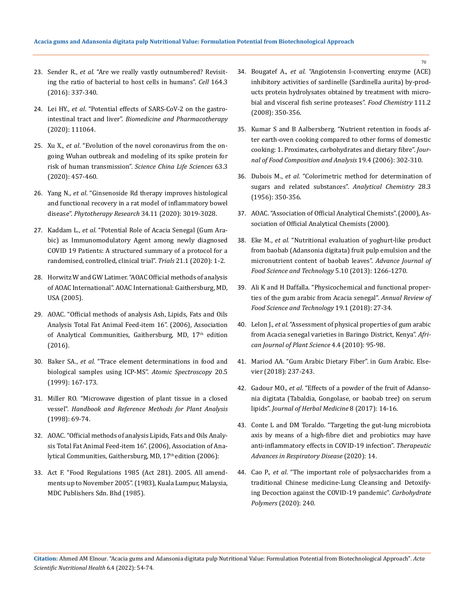- 23. Sender R., *et al.* ["Are we really vastly outnumbered? Revisit](https://pubmed.ncbi.nlm.nih.gov/26824647/)[ing the ratio of bacterial to host cells in humans".](https://pubmed.ncbi.nlm.nih.gov/26824647/) *Cell* 164.3 [\(2016\): 337-340.](https://pubmed.ncbi.nlm.nih.gov/26824647/)
- 24. Lei HY., *et al*[. "Potential effects of SARS-CoV-2 on the gastro](https://pubmed.ncbi.nlm.nih.gov/33378966/)intestinal tract and liver". *[Biomedicine and Pharmacotherapy](https://pubmed.ncbi.nlm.nih.gov/33378966/)* [\(2020\): 111064.](https://pubmed.ncbi.nlm.nih.gov/33378966/)
- 25. Xu X., *et al*[. "Evolution of the novel coronavirus from the on](https://pubmed.ncbi.nlm.nih.gov/32009228/)[going Wuhan outbreak and modeling of its spike protein for](https://pubmed.ncbi.nlm.nih.gov/32009228/)  risk of human transmission". *[Science China Life Sciences](https://pubmed.ncbi.nlm.nih.gov/32009228/)* 63.3 [\(2020\): 457-460.](https://pubmed.ncbi.nlm.nih.gov/32009228/)
- 26. Yang N., *et al*[. "Ginsenoside Rd therapy improves histological](https://pubmed.ncbi.nlm.nih.gov/32468636/)  [and functional recovery in a rat model of inflammatory bowel](https://pubmed.ncbi.nlm.nih.gov/32468636/)  disease". *[Phytotherapy Research](https://pubmed.ncbi.nlm.nih.gov/32468636/)* 34.11 (2020): 3019-3028.
- 27. Kaddam L., *et al*[. "Potential Role of Acacia Senegal \(Gum Ara](https://pubmed.ncbi.nlm.nih.gov/32891160/)[bic\) as Immunomodulatory Agent among newly diagnosed](https://pubmed.ncbi.nlm.nih.gov/32891160/)  [COVID 19 Patients: A structured summary of a protocol for a](https://pubmed.ncbi.nlm.nih.gov/32891160/)  [randomised, controlled, clinical trial".](https://pubmed.ncbi.nlm.nih.gov/32891160/) *Trials* 21.1 (2020): 1-2.
- 28. Horwitz W and GW Latimer. "AOAC Official methods of analysis of AOAC International". AOAC International: Gaithersburg, MD, USA (2005).
- 29. AOAC. "Official methods of analysis Ash, Lipids, Fats and Oils Analysis Total Fat Animal Feed-item 16". (2006), Association of Analytical Communities, Gaithersburg, MD, 17<sup>th</sup> edition (2016).
- 30. Baker SA., *et al.* ["Trace element determinations in food and](https://pubs.acs.org/doi/abs/10.1021/jf950616l)  [biological samples using ICP-MS".](https://pubs.acs.org/doi/abs/10.1021/jf950616l) *Atomic Spectroscopy* 20.5 [\(1999\): 167-173.](https://pubs.acs.org/doi/abs/10.1021/jf950616l)
- 31. [Miller RO. "Microwave digestion of plant tissue in a closed](https://www.semanticscholar.org/paper/Microwave-Digestion-Of-Plant-Tissue-In-A-Closed-Miller/8fb68a445e42663ef38fde8cb0a403f6117c4748)  vessel". *Handbook and Reference [Methods for Plant Analysis](https://www.semanticscholar.org/paper/Microwave-Digestion-Of-Plant-Tissue-In-A-Closed-Miller/8fb68a445e42663ef38fde8cb0a403f6117c4748)* [\(1998\): 69-74.](https://www.semanticscholar.org/paper/Microwave-Digestion-Of-Plant-Tissue-In-A-Closed-Miller/8fb68a445e42663ef38fde8cb0a403f6117c4748)
- 32. AOAC. "Official methods of analysis Lipids, Fats and Oils Analysis Total Fat Animal Feed-item 16". (2006), Association of Analytical Communities, Gaithersburg, MD, 17<sup>th</sup> edition (2006):
- 33. Act F. "Food Regulations 1985 (Act 281). 2005. All amendments up to November 2005". (1983), Kuala Lumpur, Malaysia, MDC Publishers Sdn. Bhd (1985).
- 34. Bougatef A., *et al*[. "Angiotensin I-converting enzyme \(ACE\)](https://pubmed.ncbi.nlm.nih.gov/26047434/)  [inhibitory activities of sardinelle \(Sardinella aurita\) by-prod](https://pubmed.ncbi.nlm.nih.gov/26047434/)[ucts protein hydrolysates obtained by treatment with micro](https://pubmed.ncbi.nlm.nih.gov/26047434/)[bial and visceral fish serine proteases".](https://pubmed.ncbi.nlm.nih.gov/26047434/) *Food Chemistry* 111.2 [\(2008\): 350-356.](https://pubmed.ncbi.nlm.nih.gov/26047434/)
- 35. [Kumar S and B Aalbersberg. "Nutrient retention in foods af](https://www.sciencedirect.com/science/article/abs/pii/S0889157505001031)[ter earth-oven cooking compared to other forms of domestic](https://www.sciencedirect.com/science/article/abs/pii/S0889157505001031)  [cooking: 1. Proximates, carbohydrates and dietary fibre".](https://www.sciencedirect.com/science/article/abs/pii/S0889157505001031) *Jour[nal of Food Composition and Analysis](https://www.sciencedirect.com/science/article/abs/pii/S0889157505001031)* 19.4 (2006): 302-310.
- 36. Dubois M., *et al*[. "Colorimetric method for determination of](https://pubs.acs.org/doi/10.1021/ac60111a017)  [sugars and related substances".](https://pubs.acs.org/doi/10.1021/ac60111a017) *Analytical Chemistry* 28.3 [\(1956\): 350-356.](https://pubs.acs.org/doi/10.1021/ac60111a017)
- 37. AOAC. "Association of Official Analytical Chemists". (2000), Association of Official Analytical Chemists (2000).
- 38. Eke M., *et al.* ["Nutritional evaluation of yoghurt-like product](https://www.researchgate.net/publication/288069662_Nutritional_evaluation_of_yoghurt-like_product_from_baobab_adansonia_digitata_fruit_pulp_emulsion_and_the_micronutrient_content_of_baobab_leaves)  [from baobab \(Adansonia digitata\) fruit pulp emulsion and the](https://www.researchgate.net/publication/288069662_Nutritional_evaluation_of_yoghurt-like_product_from_baobab_adansonia_digitata_fruit_pulp_emulsion_and_the_micronutrient_content_of_baobab_leaves)  [micronutrient content of baobab leaves".](https://www.researchgate.net/publication/288069662_Nutritional_evaluation_of_yoghurt-like_product_from_baobab_adansonia_digitata_fruit_pulp_emulsion_and_the_micronutrient_content_of_baobab_leaves) *Advance Journal of [Food Science and Technology](https://www.researchgate.net/publication/288069662_Nutritional_evaluation_of_yoghurt-like_product_from_baobab_adansonia_digitata_fruit_pulp_emulsion_and_the_micronutrient_content_of_baobab_leaves)* 5.10 (2013): 1266-1270.
- 39. [Ali K and H Daffalla. "Physicochemical and functional proper](https://www.researchgate.net/publication/332632027_PHYSICOCHEMICAL_AND_FUNCTIONAL_PROPERTIES_OF_THE_GUM_ARABIC_FROM_ACACIA_SENEGAL)[ties of the gum arabic from Acacia senegal".](https://www.researchgate.net/publication/332632027_PHYSICOCHEMICAL_AND_FUNCTIONAL_PROPERTIES_OF_THE_GUM_ARABIC_FROM_ACACIA_SENEGAL) *Annual Review of [Food Science and Technology](https://www.researchgate.net/publication/332632027_PHYSICOCHEMICAL_AND_FUNCTIONAL_PROPERTIES_OF_THE_GUM_ARABIC_FROM_ACACIA_SENEGAL)* 19.1 (2018): 27-34.
- 40. Lelon J., *et al*[. "Assessment of physical properties of gum arabic](https://www.researchgate.net/publication/229053480_Assessment_of_physical_properties_of_gum_arabic_from_Acacia_senegal_varieties_in_Baringo_District_Kenya)  [from Acacia senegal varieties in Baringo District, Kenya".](https://www.researchgate.net/publication/229053480_Assessment_of_physical_properties_of_gum_arabic_from_Acacia_senegal_varieties_in_Baringo_District_Kenya) *Afri[can Journal of Plant Science](https://www.researchgate.net/publication/229053480_Assessment_of_physical_properties_of_gum_arabic_from_Acacia_senegal_varieties_in_Baringo_District_Kenya)* 4.4 (2010): 95-98.
- 41. [Mariod AA. "Gum Arabic Dietary Fiber". in Gum Arabic. Else](https://www.sciencedirect.com/science/article/pii/B9780128120026000208)[vier \(2018\): 237-243.](https://www.sciencedirect.com/science/article/pii/B9780128120026000208)
- 42. Gadour MO., *et al*[. "Effects of a powder of the fruit of Adanso](https://www.sciencedirect.com/science/article/abs/pii/S2210803317300106)[nia digitata \(Tabaldia, Gongolase, or baobab tree\) on serum](https://www.sciencedirect.com/science/article/abs/pii/S2210803317300106)  lipids". *[Journal of Herbal Medicine](https://www.sciencedirect.com/science/article/abs/pii/S2210803317300106)* 8 (2017): 14-16.
- 43. [Conte L and DM Toraldo. "Targeting the gut-lung microbiota](https://pubmed.ncbi.nlm.nih.gov/32600125/)  [axis by means of a high-fibre diet and probiotics may have](https://pubmed.ncbi.nlm.nih.gov/32600125/)  [anti-inflammatory effects in COVID-19 infection".](https://pubmed.ncbi.nlm.nih.gov/32600125/) *Therapeutic [Advances in Respiratory Disease](https://pubmed.ncbi.nlm.nih.gov/32600125/)* (2020): 14.
- 44. Cao P., *et al*[. "The important role of polysaccharides from a](https://www.ncbi.nlm.nih.gov/pmc/articles/PMC7175912/)  [traditional Chinese medicine-Lung Cleansing and Detoxify](https://www.ncbi.nlm.nih.gov/pmc/articles/PMC7175912/)[ing Decoction against the COVID-19 pandemic".](https://www.ncbi.nlm.nih.gov/pmc/articles/PMC7175912/) *Carbohydrate Polymers* [\(2020\): 240.](https://www.ncbi.nlm.nih.gov/pmc/articles/PMC7175912/)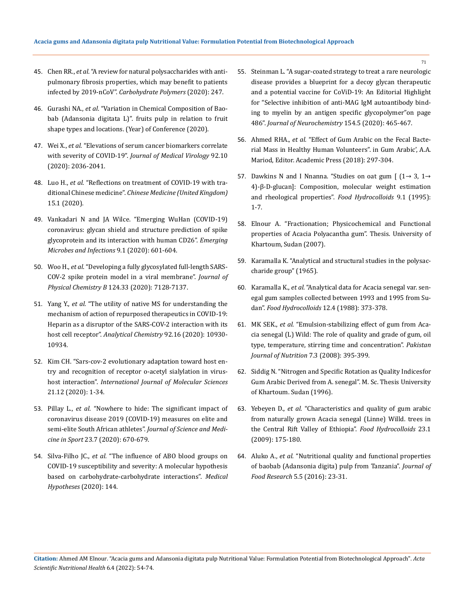- 45. Chen RR., *et al*[. "A review for natural polysaccharides with anti](https://www.ncbi.nlm.nih.gov/pmc/articles/PMC7340049/)[pulmonary fibrosis properties, which may benefit to patients](https://www.ncbi.nlm.nih.gov/pmc/articles/PMC7340049/)  infected by 2019-nCoV". *[Carbohydrate Polymers](https://www.ncbi.nlm.nih.gov/pmc/articles/PMC7340049/)* (2020): 247.
- 46. Gurashi NA., *et al*[. "Variation in Chemical Composition of Bao](https://www.researchgate.net/publication/346087695_Variation_in_Chemical_Composition_of_Baobab_Adansonia_digitata_L)[bab \(Adansonia digitata L\)". fruits pulp in relation to fruit](https://www.researchgate.net/publication/346087695_Variation_in_Chemical_Composition_of_Baobab_Adansonia_digitata_L)  [shape types and locations. \(Year\) of Conference \(2020\).](https://www.researchgate.net/publication/346087695_Variation_in_Chemical_Composition_of_Baobab_Adansonia_digitata_L)
- 47. Wei X., *et al*[. "Elevations of serum cancer biomarkers correlate](https://www.ncbi.nlm.nih.gov/pmc/articles/PMC7267262/)  with severity of COVID‐19". *[Journal of Medical Virology](https://www.ncbi.nlm.nih.gov/pmc/articles/PMC7267262/)* 92.10 [\(2020\): 2036-2041.](https://www.ncbi.nlm.nih.gov/pmc/articles/PMC7267262/)
- 48. Luo H., *et al*[. "Reflections on treatment of COVID-19 with tra](https://pubmed.ncbi.nlm.nih.gov/32905189/)ditional Chinese medicine". *[Chinese Medicine \(United Kingdom\)](https://pubmed.ncbi.nlm.nih.gov/32905189/)* [15.1 \(2020\).](https://pubmed.ncbi.nlm.nih.gov/32905189/)
- 49. [Vankadari N and JA Wilce. "Emerging WuHan \(COVID-19\)](https://pubmed.ncbi.nlm.nih.gov/32178593/)  [coronavirus: glycan shield and structure prediction of spike](https://pubmed.ncbi.nlm.nih.gov/32178593/)  [glycoprotein and its interaction with human CD26".](https://pubmed.ncbi.nlm.nih.gov/32178593/) *Emerging [Microbes and Infections](https://pubmed.ncbi.nlm.nih.gov/32178593/)* 9.1 (2020): 601-604.
- 50. Woo H., *et al*[. "Developing a fully glycosylated full-length SARS-](https://pubmed.ncbi.nlm.nih.gov/32559081/)[COV-2 spike protein model in a viral membrane".](https://pubmed.ncbi.nlm.nih.gov/32559081/) *Journal of Physical Chemistry B* [124.33 \(2020\): 7128-7137.](https://pubmed.ncbi.nlm.nih.gov/32559081/)
- 51. Yang Y., *et al.* ["The utility of native MS for understanding the](https://www.ncbi.nlm.nih.gov/pmc/articles/PMC7384394/)  [mechanism of action of repurposed therapeutics in COVID-19:](https://www.ncbi.nlm.nih.gov/pmc/articles/PMC7384394/)  [Heparin as a disruptor of the SARS-COV-2 interaction with its](https://www.ncbi.nlm.nih.gov/pmc/articles/PMC7384394/)  host cell receptor". *[Analytical Chemistry](https://www.ncbi.nlm.nih.gov/pmc/articles/PMC7384394/)* 92.16 (2020): 10930- [10934.](https://www.ncbi.nlm.nih.gov/pmc/articles/PMC7384394/)
- 52. [Kim CH. "Sars-cov-2 evolutionary adaptation toward host en](https://pubmed.ncbi.nlm.nih.gov/32604730/)[try and recognition of receptor o-acetyl sialylation in virus](https://pubmed.ncbi.nlm.nih.gov/32604730/)host interaction". *[International Journal of Molecular Sciences](https://pubmed.ncbi.nlm.nih.gov/32604730/)*  [21.12 \(2020\): 1-34.](https://pubmed.ncbi.nlm.nih.gov/32604730/)
- 53. Pillay L., *et al*[. "Nowhere to hide: The significant impact of](https://pubmed.ncbi.nlm.nih.gov/32448749/)  [coronavirus disease 2019 \(COVID-19\) measures on elite and](https://pubmed.ncbi.nlm.nih.gov/32448749/)  [semi-elite South African athletes".](https://pubmed.ncbi.nlm.nih.gov/32448749/) *Journal of Science and Medicine in Sport* [23.7 \(2020\): 670-679.](https://pubmed.ncbi.nlm.nih.gov/32448749/)
- 54. Silva-Filho JC., *et al.* ["The influence of ABO blood groups on](https://pubmed.ncbi.nlm.nih.gov/33254482/)  [COVID-19 susceptibility and severity: A molecular hypothesis](https://pubmed.ncbi.nlm.nih.gov/33254482/)  [based on carbohydrate-carbohydrate interactions".](https://pubmed.ncbi.nlm.nih.gov/33254482/) *Medical Hypotheses* [\(2020\): 144.](https://pubmed.ncbi.nlm.nih.gov/33254482/)
- 55. [Steinman L. "A sugar-coated strategy to treat a rare neurologic](https://pubmed.ncbi.nlm.nih.gov/32574379/)  [disease provides a blueprint for a decoy glycan therapeutic](https://pubmed.ncbi.nlm.nih.gov/32574379/)  [and a potential vaccine for CoViD-19: An Editorial Highlight](https://pubmed.ncbi.nlm.nih.gov/32574379/)  [for "Selective inhibition of anti-MAG IgM autoantibody bind](https://pubmed.ncbi.nlm.nih.gov/32574379/)[ing to myelin by an antigen specific glycopolymer"on page](https://pubmed.ncbi.nlm.nih.gov/32574379/)  486". *[Journal of Neurochemistry](https://pubmed.ncbi.nlm.nih.gov/32574379/)* 154.5 (2020): 465-467.
- 56. Ahmed RHA., *et al.* ["Effect of Gum Arabic on the Fecal Bacte](https://www.researchgate.net/publication/324932543_Effect_of_Gum_Arabic_on_the_Fecal_Bacterial_Mass_in_Healthy_Human_Volunteers)[rial Mass in Healthy Human Volunteers". in Gum Arabic', A.A.](https://www.researchgate.net/publication/324932543_Effect_of_Gum_Arabic_on_the_Fecal_Bacterial_Mass_in_Healthy_Human_Volunteers)  [Mariod, Editor. Academic Press \(2018\): 297-304.](https://www.researchgate.net/publication/324932543_Effect_of_Gum_Arabic_on_the_Fecal_Bacterial_Mass_in_Healthy_Human_Volunteers)
- 57. Dawkins N and I Nnanna. "Studies on oat gum [  $(1 \rightarrow 3, 1 \rightarrow$ [4\)-β-D-glucan\]: Composition, molecular weight estimation](https://www.sciencedirect.com/science/article/abs/pii/S0268005X09801884)  [and rheological properties".](https://www.sciencedirect.com/science/article/abs/pii/S0268005X09801884) *Food Hydrocolloids* 9.1 (1995): [1-7.](https://www.sciencedirect.com/science/article/abs/pii/S0268005X09801884)
- 58. [Elnour A. "Fractionation; Physicochemical and Functional](http://khartoumspace.uofk.edu/items/9174c2cd-0976-4614-84da-d22804ea6074)  [properties of Acacia Polyacantha gum". Thesis. University of](http://khartoumspace.uofk.edu/items/9174c2cd-0976-4614-84da-d22804ea6074)  [Khartoum, Sudan \(2007\).](http://khartoumspace.uofk.edu/items/9174c2cd-0976-4614-84da-d22804ea6074)
- 59. [Karamalla K. "Analytical and structural studies in the polysac](https://era.ed.ac.uk/handle/1842/18336?show=full)[charide group" \(1965\).](https://era.ed.ac.uk/handle/1842/18336?show=full)
- 60. Karamalla K., *et al.* ["Analytical data for Acacia senegal var. sen](https://www.sciencedirect.com/science/article/abs/pii/S0268005X98000058)[egal gum samples collected between 1993 and 1995 from Su](https://www.sciencedirect.com/science/article/abs/pii/S0268005X98000058)dan". *[Food Hydrocolloids](https://www.sciencedirect.com/science/article/abs/pii/S0268005X98000058)* 12.4 (1988): 373-378.
- 61. MK SEK., *et al.* ["Emulsion-stabilizing effect of gum from Aca](https://www.researchgate.net/publication/26563732_Emulsion-Stabilizing_Effect_of_Gum_from_Acacia_senegal_L_Willd_The_Role_of_Quality_and_Grade_of_Gum_Oil_Type_TemperatureStirring_Time_and_Concentration)[cia senegal \(L\) Wild: The role of quality and grade of gum, oil](https://www.researchgate.net/publication/26563732_Emulsion-Stabilizing_Effect_of_Gum_from_Acacia_senegal_L_Willd_The_Role_of_Quality_and_Grade_of_Gum_Oil_Type_TemperatureStirring_Time_and_Concentration)  [type, temperature, stirring time and concentration".](https://www.researchgate.net/publication/26563732_Emulsion-Stabilizing_Effect_of_Gum_from_Acacia_senegal_L_Willd_The_Role_of_Quality_and_Grade_of_Gum_Oil_Type_TemperatureStirring_Time_and_Concentration) *Pakistan [Journal of Nutrition](https://www.researchgate.net/publication/26563732_Emulsion-Stabilizing_Effect_of_Gum_from_Acacia_senegal_L_Willd_The_Role_of_Quality_and_Grade_of_Gum_Oil_Type_TemperatureStirring_Time_and_Concentration)* 7.3 (2008): 395-399.
- 62. Siddig N. "Nitrogen and Specific Rotation as Quality Indicesfor Gum Arabic Derived from A. senegal". M. Sc. Thesis University of Khartoum. Sudan (1996).
- 63. Yebeyen D., *et al.* ["Characteristics and quality of gum arabic](https://www.sciencedirect.com/science/article/abs/pii/S0268005X07002676)  [from naturally grown Acacia senegal \(Linne\) Willd. trees in](https://www.sciencedirect.com/science/article/abs/pii/S0268005X07002676)  [the Central Rift Valley of Ethiopia".](https://www.sciencedirect.com/science/article/abs/pii/S0268005X07002676) *Food Hydrocolloids* 23.1 [\(2009\): 175-180.](https://www.sciencedirect.com/science/article/abs/pii/S0268005X07002676)
- 64. Aluko A., *et al*[. "Nutritional quality and functional properties](https://www.ccsenet.org/journal/index.php/jfr/article/view/61674)  [of baobab \(Adansonia digita\) pulp from Tanzania".](https://www.ccsenet.org/journal/index.php/jfr/article/view/61674) *Journal of Food Research* [5.5 \(2016\): 23-31.](https://www.ccsenet.org/journal/index.php/jfr/article/view/61674)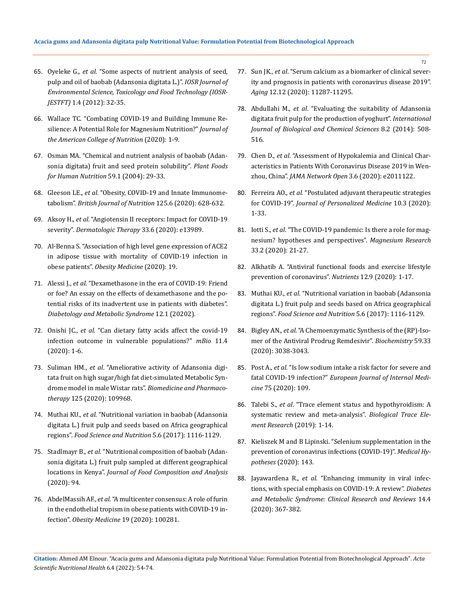- 65. Oyeleke G., *et al.* ["Some aspects of nutrient analysis of seed,](https://www.researchgate.net/publication/286282726_Some_Aspects_of_Nutrient_Analysis_of_Seed_Pulp_and_Oil_of_Baobab_Adansonia_digitata_L)  [pulp and oil of baobab \(Adansonia digitata L.\)".](https://www.researchgate.net/publication/286282726_Some_Aspects_of_Nutrient_Analysis_of_Seed_Pulp_and_Oil_of_Baobab_Adansonia_digitata_L) *IOSR Journal of [Environmental Science, Toxicology and](https://www.researchgate.net/publication/286282726_Some_Aspects_of_Nutrient_Analysis_of_Seed_Pulp_and_Oil_of_Baobab_Adansonia_digitata_L) Food Technology (IOSR-JESTFT)* [1.4 \(2012\): 32-35.](https://www.researchgate.net/publication/286282726_Some_Aspects_of_Nutrient_Analysis_of_Seed_Pulp_and_Oil_of_Baobab_Adansonia_digitata_L)
- 66. [Wallace TC. "Combating COVID-19 and Building Immune Re](https://pubmed.ncbi.nlm.nih.gov/32649272/)[silience: A Potential Role for Magnesium Nutrition?"](https://pubmed.ncbi.nlm.nih.gov/32649272/) *Journal of [the American College of Nutrition](https://pubmed.ncbi.nlm.nih.gov/32649272/)* (2020): 1-9.
- 67. [Osman MA. "Chemical and nutrient analysis of baobab \(Adan](https://pubmed.ncbi.nlm.nih.gov/15675149/)[sonia digitata\) fruit and seed protein solubility".](https://pubmed.ncbi.nlm.nih.gov/15675149/) *Plant Foods [for Human Nutrition](https://pubmed.ncbi.nlm.nih.gov/15675149/)* 59.1 (2004): 29-33.
- 68. Gleeson LE., *et al.* ["Obesity, COVID-19 and Innate Immunome](https://pubmed.ncbi.nlm.nih.gov/32892755/)tabolism". *[British Journal of Nutrition](https://pubmed.ncbi.nlm.nih.gov/32892755/)* 125.6 (2020): 628-632.
- 69. Aksoy H., *et al.* ["Angiotensin II receptors: Impact for COVID-19](https://pubmed.ncbi.nlm.nih.gov/32645228/)  severity". *[Dermatologic Therapy](https://pubmed.ncbi.nlm.nih.gov/32645228/)* 33.6 (2020): e13989.
- 70. [Al-Benna S. "Association of high level gene expression of ACE2](https://pubmed.ncbi.nlm.nih.gov/32835126/)  [in adipose tissue with mortality of COVID-19 infection in](https://pubmed.ncbi.nlm.nih.gov/32835126/)  obese patients". *[Obesity Medicine](https://pubmed.ncbi.nlm.nih.gov/32835126/)* (2020): 19.
- 71. Alessi J., *et al*[. "Dexamethasone in the era of COVID-19: Friend](https://www.researchgate.net/publication/344260454_Dexamethasone_in_the_era_of_COVID-19_Friend_or_foe_An_essay_on_the_effects_of_dexamethasone_and_the_potential_risks_of_its_inadvertent_use_in_patients_with_diabetes)  [or foe? An essay on the effects of dexamethasone and the po](https://www.researchgate.net/publication/344260454_Dexamethasone_in_the_era_of_COVID-19_Friend_or_foe_An_essay_on_the_effects_of_dexamethasone_and_the_potential_risks_of_its_inadvertent_use_in_patients_with_diabetes)[tential risks of its inadvertent use in patients with diabetes".](https://www.researchgate.net/publication/344260454_Dexamethasone_in_the_era_of_COVID-19_Friend_or_foe_An_essay_on_the_effects_of_dexamethasone_and_the_potential_risks_of_its_inadvertent_use_in_patients_with_diabetes)  *[Diabetology and Metabolic Syndrome](https://www.researchgate.net/publication/344260454_Dexamethasone_in_the_era_of_COVID-19_Friend_or_foe_An_essay_on_the_effects_of_dexamethasone_and_the_potential_risks_of_its_inadvertent_use_in_patients_with_diabetes)* 12.1 (20202).
- 72. Onishi JC., *et al.* ["Can dietary fatty acids affect the covid-19](https://pubmed.ncbi.nlm.nih.gov/32703911/)  [infection outcome in vulnerable populations?"](https://pubmed.ncbi.nlm.nih.gov/32703911/) *mBio* 11.4 [\(2020\): 1-6.](https://pubmed.ncbi.nlm.nih.gov/32703911/)
- 73. Suliman HM., *et al*[. "Ameliorative activity of Adansonia digi](https://pubmed.ncbi.nlm.nih.gov/32066041/)[tata fruit on high sugar/high fat diet-simulated Metabolic Syn](https://pubmed.ncbi.nlm.nih.gov/32066041/)drome model in male Wistar rats". *[Biomedicine and Pharmaco](https://pubmed.ncbi.nlm.nih.gov/32066041/)therapy* [125 \(2020\): 109968.](https://pubmed.ncbi.nlm.nih.gov/32066041/)
- 74. Muthai KU., *et al*[. "Nutritional variation in baobab \(Adansonia](https://pubmed.ncbi.nlm.nih.gov/29188039/)  [digitata L.\) fruit pulp and seeds based on Africa geographical](https://pubmed.ncbi.nlm.nih.gov/29188039/)  regions". *[Food Science and Nutrition](https://pubmed.ncbi.nlm.nih.gov/29188039/)* 5.6 (2017): 1116-1129.
- 75. Stadlmayr B., *et al*[. "Nutritional composition of baobab \(Adan](file:///C:/Users/DELL/Desktop/07-02-2022/PDF/ASNH/ASNH-22-RA-065/m)[sonia digitata L.\) fruit pulp sampled at different geographical](file:///C:/Users/DELL/Desktop/07-02-2022/PDF/ASNH/ASNH-22-RA-065/m)  locations in Kenya". *[Journal of Food Composition and Analysis](file:///C:/Users/DELL/Desktop/07-02-2022/PDF/ASNH/ASNH-22-RA-065/m)* [\(2020\): 94.](file:///C:/Users/DELL/Desktop/07-02-2022/PDF/ASNH/ASNH-22-RA-065/m)
- 76. AbdelMassih AF., *et al*[. "A multicenter consensus: A role of furin](https://pubmed.ncbi.nlm.nih.gov/32835124/)  [in the endothelial tropism in obese patients with COVID-19 in](https://pubmed.ncbi.nlm.nih.gov/32835124/)fection". *[Obesity Medicine](https://pubmed.ncbi.nlm.nih.gov/32835124/)* 19 (2020): 100281.
- 77. Sun JK., *et al*[. "Serum calcium as a biomarker of clinical sever](https://pubmed.ncbi.nlm.nih.gov/32589164/)[ity and prognosis in patients with coronavirus disease 2019".](https://pubmed.ncbi.nlm.nih.gov/32589164/)  *Aging* [12.12 \(2020\): 11287-11295.](https://pubmed.ncbi.nlm.nih.gov/32589164/)
- 78. Abdullahi M., *et al*[. "Evaluating the suitability of Adansonia](https://www.researchgate.net/publication/272338064_Evaluating_the_suitability_of_Adansonia_digitata_fruit_pulp_for_the_production_of_yoghurt)  [digitata fruit pulp for the production of yoghurt".](https://www.researchgate.net/publication/272338064_Evaluating_the_suitability_of_Adansonia_digitata_fruit_pulp_for_the_production_of_yoghurt) *International [Journal of Biological and Chemical Sciences](https://www.researchgate.net/publication/272338064_Evaluating_the_suitability_of_Adansonia_digitata_fruit_pulp_for_the_production_of_yoghurt)* 8.2 (2014): 508- [516.](https://www.researchgate.net/publication/272338064_Evaluating_the_suitability_of_Adansonia_digitata_fruit_pulp_for_the_production_of_yoghurt)
- 79. Chen D., *et al*[. "Assessment of Hypokalemia and Clinical Char](https://www.ncbi.nlm.nih.gov/pmc/articles/PMC7290402/)[acteristics in Patients With Coronavirus Disease 2019 in Wen](https://www.ncbi.nlm.nih.gov/pmc/articles/PMC7290402/)zhou, China". *[JAMA Network Open](https://www.ncbi.nlm.nih.gov/pmc/articles/PMC7290402/)* 3.6 (2020): e2011122.
- 80. Ferreira AO., *et al.* ["Postulated adjuvant therapeutic strategies](https://pubmed.ncbi.nlm.nih.gov/32764275/)  for COVID-19". *[Journal of Personalized Medicine](https://pubmed.ncbi.nlm.nih.gov/32764275/)* 10.3 (2020): [1-33.](https://pubmed.ncbi.nlm.nih.gov/32764275/)
- 81. Iotti S., *et al*[. "The COVID-19 pandemic: Is there a role for mag](https://pubmed.ncbi.nlm.nih.gov/32554340/)[nesium? hypotheses and perspectives".](https://pubmed.ncbi.nlm.nih.gov/32554340/) *Magnesium Research* [33.2 \(2020\): 21-27.](https://pubmed.ncbi.nlm.nih.gov/32554340/)
- 82. [Alkhatib A. "Antiviral functional foods and exercise lifestyle](https://pubmed.ncbi.nlm.nih.gov/32872374/)  [prevention of coronavirus".](https://pubmed.ncbi.nlm.nih.gov/32872374/) *Nutrients* 12.9 (2020): 1-17.
- 83. Muthai KU., *et al*[. "Nutritional variation in baobab \(Adansonia](https://pubmed.ncbi.nlm.nih.gov/29188039/)  [digitata L.\) fruit pulp and seeds based on Africa geographical](https://pubmed.ncbi.nlm.nih.gov/29188039/)  regions". *[Food Science and Nutrition](https://pubmed.ncbi.nlm.nih.gov/29188039/)* 5.6 (2017): 1116-1129.
- 84. Bigley AN., *et al.* ["A Chemoenzymatic Synthesis of the \(RP\)-Iso](https://pubmed.ncbi.nlm.nih.gov/32786401/)[mer of the Antiviral Prodrug Remdesivir".](https://pubmed.ncbi.nlm.nih.gov/32786401/) *Biochemistry* 59.33 [\(2020\): 3038-3043.](https://pubmed.ncbi.nlm.nih.gov/32786401/)
- 85. Post A., *et al.* ["Is low sodium intake a risk factor for severe and](https://pubmed.ncbi.nlm.nih.gov/32291196/)  fatal COVID-19 infection?" *[European Journal of Internal Medi](https://pubmed.ncbi.nlm.nih.gov/32291196/)cine* [75 \(2020\): 109.](https://pubmed.ncbi.nlm.nih.gov/32291196/)
- 86. Talebi S., *et al*[. "Trace element status and hypothyroidism: A](https://pubmed.ncbi.nlm.nih.gov/31820354/)  [systematic review and meta-analysis".](https://pubmed.ncbi.nlm.nih.gov/31820354/) *Biological Trace Ele[ment Research](https://pubmed.ncbi.nlm.nih.gov/31820354/)* (2019): 1-14.
- 87. [Kieliszek M and B Lipinski. "Selenium supplementation in the](https://pubmed.ncbi.nlm.nih.gov/32464491/)  [prevention of coronavirus infections \(COVID-19\)".](https://pubmed.ncbi.nlm.nih.gov/32464491/) *Medical Hypotheses* [\(2020\): 143.](https://pubmed.ncbi.nlm.nih.gov/32464491/)
- 88. Jayawardena R., *et al*[. "Enhancing immunity in viral infec](https://pubmed.ncbi.nlm.nih.gov/32334392/)[tions, with special emphasis on COVID-19: A review".](https://pubmed.ncbi.nlm.nih.gov/32334392/) *Diabetes [and Metabolic Syndrome: Clinical Research and Reviews](https://pubmed.ncbi.nlm.nih.gov/32334392/)* 14.4 [\(2020\): 367-382.](https://pubmed.ncbi.nlm.nih.gov/32334392/)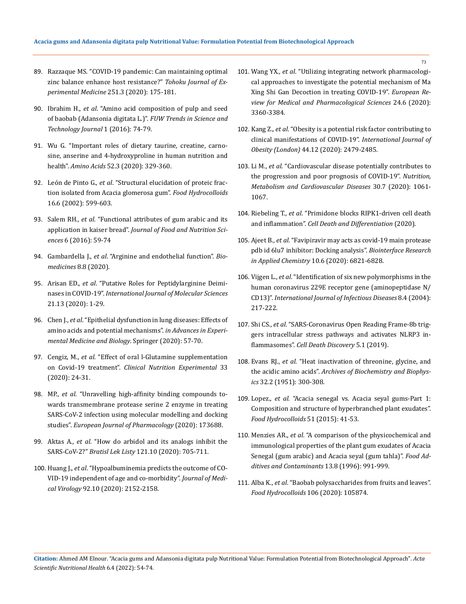- 89. [Razzaque MS. "COVID-19 pandemic: Can maintaining optimal](https://pubmed.ncbi.nlm.nih.gov/32641644/)  [zinc balance enhance host resistance?"](https://pubmed.ncbi.nlm.nih.gov/32641644/) *Tohoku Journal of Ex[perimental Medicine](https://pubmed.ncbi.nlm.nih.gov/32641644/)* 251.3 (2020): 175-181.
- 90. Ibrahim H., *et al*[. "Amino acid composition of pulp and seed](https://www.researchgate.net/publication/316476727_Amino_acid_composition_of_pulp_and_seed_of_baobab_Adansonia_digitata_L)  [of baobab \(Adansonia digitata L.\)".](https://www.researchgate.net/publication/316476727_Amino_acid_composition_of_pulp_and_seed_of_baobab_Adansonia_digitata_L) *FUW Trends in Science and [Technology Journal](https://www.researchgate.net/publication/316476727_Amino_acid_composition_of_pulp_and_seed_of_baobab_Adansonia_digitata_L)* 1 (2016): 74-79.
- 91. [Wu G. "Important roles of dietary taurine, creatine, carno](https://pubmed.ncbi.nlm.nih.gov/32072297/)[sine, anserine and 4-hydroxyproline in human nutrition and](https://pubmed.ncbi.nlm.nih.gov/32072297/)  health". *Amino Acids* [52.3 \(2020\): 329-360.](https://pubmed.ncbi.nlm.nih.gov/32072297/)
- 92. León de Pinto G., *et al*[. "Structural elucidation of proteic frac](https://www.researchgate.net/publication/229300229_Structural_elucidation_of_proteic_fraction_isolated_from_Acacia_glomerosa_gum)[tion isolated from Acacia glomerosa gum".](https://www.researchgate.net/publication/229300229_Structural_elucidation_of_proteic_fraction_isolated_from_Acacia_glomerosa_gum) *Food Hydrocolloids* [16.6 \(2002\): 599-603.](https://www.researchgate.net/publication/229300229_Structural_elucidation_of_proteic_fraction_isolated_from_Acacia_glomerosa_gum)
- 93. Salem RH., *et al.* ["Functional attributes of gum arabic and its](https://www.researchgate.net/publication/326088385_Functional_Attributes_of_Gum_Arabic_and_its_Application_in_Kaiser_Bread)  application in kaiser bread". *[Journal of Food and Nutrition Sci](https://www.researchgate.net/publication/326088385_Functional_Attributes_of_Gum_Arabic_and_its_Application_in_Kaiser_Bread)ences* [6 \(2016\): 59-74](https://www.researchgate.net/publication/326088385_Functional_Attributes_of_Gum_Arabic_and_its_Application_in_Kaiser_Bread)
- 94. Gambardella J., *et al*[. "Arginine and endothelial function".](https://www.ncbi.nlm.nih.gov/pmc/articles/PMC7460461/) *Bio[medicines](https://www.ncbi.nlm.nih.gov/pmc/articles/PMC7460461/)* 8.8 (2020).
- 95. Arisan ED., *et al*[. "Putative Roles for Peptidylarginine Deimi](https://pubmed.ncbi.nlm.nih.gov/32629995/)nases in COVID-19". *[International Journal of Molecular Sciences](https://pubmed.ncbi.nlm.nih.gov/32629995/)*  [21.13 \(2020\): 1-29.](https://pubmed.ncbi.nlm.nih.gov/32629995/)
- 96. Chen J., *et al*[. "Epithelial dysfunction in lung diseases: Effects of](https://pubmed.ncbi.nlm.nih.gov/32761570/)  [amino acids and potential mechanisms".](https://pubmed.ncbi.nlm.nih.gov/32761570/) *in Advances in Experi[mental Medicine and Biology](https://pubmed.ncbi.nlm.nih.gov/32761570/)*. Springer (2020): 57-70.
- 97. Cengiz, M., *et al*[. "Effect of oral l-Glutamine supplementation](https://www.sciencedirect.com/science/article/pii/S2352939320300166)  on Covid-19 treatment". *[Clinical Nutrition Experimental](https://www.sciencedirect.com/science/article/pii/S2352939320300166)* 33 [\(2020\): 24-31.](https://www.sciencedirect.com/science/article/pii/S2352939320300166)
- 98. MP., *et al*[. "Unravelling high-affinity binding compounds to](https://pubmed.ncbi.nlm.nih.gov/33130280/)[wards transmembrane protease serine 2 enzyme in treating](https://pubmed.ncbi.nlm.nih.gov/33130280/)  [SARS-CoV-2 infection using molecular modelling and docking](https://pubmed.ncbi.nlm.nih.gov/33130280/)  studies". *[European Journal of Pharmacology](https://pubmed.ncbi.nlm.nih.gov/33130280/)* (2020): 173688.
- 99. Aktas A., *et al*[. "How do arbidol and its analogs inhibit the](https://pubmed.ncbi.nlm.nih.gov/32955901/)  SARS-CoV-2?" *Bratisl Lek Listy* [121.10 \(2020\): 705-711.](https://pubmed.ncbi.nlm.nih.gov/32955901/)
- 100. Huang J., *et al*[. "Hypoalbuminemia predicts the outcome of CO-](https://pubmed.ncbi.nlm.nih.gov/32406952/)[VID-19 independent of age and co-morbidity".](https://pubmed.ncbi.nlm.nih.gov/32406952/) *Journal of Medical Virology* [92.10 \(2020\): 2152-2158.](https://pubmed.ncbi.nlm.nih.gov/32406952/)
- 101. Wang YX., *et al*[. "Utilizing integrating network pharmacologi](https://pubmed.ncbi.nlm.nih.gov/32271454/)[cal approaches to investigate the potential mechanism of Ma](https://pubmed.ncbi.nlm.nih.gov/32271454/)  [Xing Shi Gan Decoction in treating COVID-19".](https://pubmed.ncbi.nlm.nih.gov/32271454/) *European Re[view for Medical and Pharmacological Sciences](https://pubmed.ncbi.nlm.nih.gov/32271454/)* 24.6 (2020): [3360-3384.](https://pubmed.ncbi.nlm.nih.gov/32271454/)
- 102. Kang Z., *et al*[. "Obesity is a potential risk factor contributing to](https://www.nature.com/articles/s41366-020-00677-2)  [clinical manifestations of COVID-19".](https://www.nature.com/articles/s41366-020-00677-2) *International Journal of Obesity (London)* [44.12 \(2020\): 2479-2485.](https://www.nature.com/articles/s41366-020-00677-2)
- 103. Li M., *et al*[. "Cardiovascular disease potentially contributes to](https://pubmed.ncbi.nlm.nih.gov/32456948/)  [the progression and poor prognosis of COVID-19".](https://pubmed.ncbi.nlm.nih.gov/32456948/) *Nutrition, [Metabolism and Cardiovascular Diseases](https://pubmed.ncbi.nlm.nih.gov/32456948/)* 30.7 (2020): 1061- [1067.](https://pubmed.ncbi.nlm.nih.gov/32456948/)
- 104. Riebeling T., *et al*[. "Primidone blocks RIPK1-driven cell death](https://www.nature.com/articles/s41418-020-00690-y)  and inflammation". *[Cell Death and Differentiation](https://www.nature.com/articles/s41418-020-00690-y)* (2020).
- 105. Ajeet B., *et al.* ["Favipiravir may acts as covid-19 main protease](https://www.researchgate.net/publication/341712696_Favipiravir_May_Acts_as_COVID-19_Main_Protease_PDB_ID_6LU7_Inhibitor_Docking_Analysis)  [pdb id 6lu7 inhibitor: Docking analysis".](https://www.researchgate.net/publication/341712696_Favipiravir_May_Acts_as_COVID-19_Main_Protease_PDB_ID_6LU7_Inhibitor_Docking_Analysis) *Biointerface Research [in Applied Chemistry](https://www.researchgate.net/publication/341712696_Favipiravir_May_Acts_as_COVID-19_Main_Protease_PDB_ID_6LU7_Inhibitor_Docking_Analysis)* 10.6 (2020): 6821-6828.
- 106. Vijgen L., *et al*[. "Identification of six new polymorphisms in the](https://pubmed.ncbi.nlm.nih.gov/15234325/)  [human coronavirus 229E receptor gene \(aminopeptidase N/](https://pubmed.ncbi.nlm.nih.gov/15234325/) CD13)". *[International Journal of Infectious Diseases](https://pubmed.ncbi.nlm.nih.gov/15234325/)* 8.4 (2004): [217-222.](https://pubmed.ncbi.nlm.nih.gov/15234325/)
- 107. Shi CS., *et al*[. "SARS-Coronavirus Open Reading Frame-8b trig](https://www.nature.com/articles/s41420-019-0181-7)[gers intracellular stress pathways and activates NLRP3 in](https://www.nature.com/articles/s41420-019-0181-7)flammasomes". *[Cell Death Discovery](https://www.nature.com/articles/s41420-019-0181-7)* 5.1 (2019).
- 108. Evans RJ., *et al.* "Heat inactivation of threonine, glycine, and the acidic amino acids". *Archives of Biochemistry and Biophysics* 32.2 (1951): 300-308.
- 109. Lopez., *et al.* ["Acacia senegal vs. Acacia seyal gums-Part 1:](https://www.sciencedirect.com/science/article/abs/pii/S0268005X15001745)  [Composition and structure of hyperbranched plant exudates".](https://www.sciencedirect.com/science/article/abs/pii/S0268005X15001745)  *[Food Hydrocolloids](https://www.sciencedirect.com/science/article/abs/pii/S0268005X15001745)* 51 (2015): 41-53.
- 110. Menzies AR., *et al*[. "A comparison of the physicochemical and](https://pubmed.ncbi.nlm.nih.gov/8950118/)  [immunological properties of the plant gum exudates of Acacia](https://pubmed.ncbi.nlm.nih.gov/8950118/)  [Senegal \(gum arabic\) and Acacia seyal \(gum tahla\)".](https://pubmed.ncbi.nlm.nih.gov/8950118/) *Food Ad[ditives and Contaminants](https://pubmed.ncbi.nlm.nih.gov/8950118/)* 13.8 (1996): 991-999.
- 111. Alba K., *et al*[. "Baobab polysaccharides from fruits and leaves".](https://www.sciencedirect.com/science/article/abs/pii/S0268005X20304550)  *[Food Hydrocolloids](https://www.sciencedirect.com/science/article/abs/pii/S0268005X20304550)* 106 (2020): 105874.